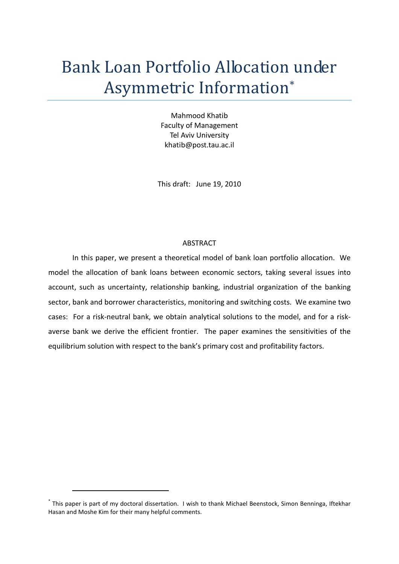# Bank Loan Portfolio Allocation under Asymmetric Information[\\*](#page-0-0)

Mahmood Khatib Faculty of Management Tel Aviv University khatib@post.tau.ac.il

This draft: June 19, 2010

# ABSTRACT

In this paper, we present a theoretical model of bank loan portfolio allocation. We model the allocation of bank loans between economic sectors, taking several issues into account, such as uncertainty, relationship banking, industrial organization of the banking sector, bank and borrower characteristics, monitoring and switching costs. We examine two cases: For a risk-neutral bank, we obtain analytical solutions to the model, and for a riskaverse bank we derive the efficient frontier. The paper examines the sensitivities of the equilibrium solution with respect to the bank's primary cost and profitability factors.

<span id="page-0-0"></span><sup>\*</sup> This paper is part of my doctoral dissertation. I wish to thank Michael Beenstock, Simon Benninga, Iftekhar Hasan and Moshe Kim for their many helpful comments.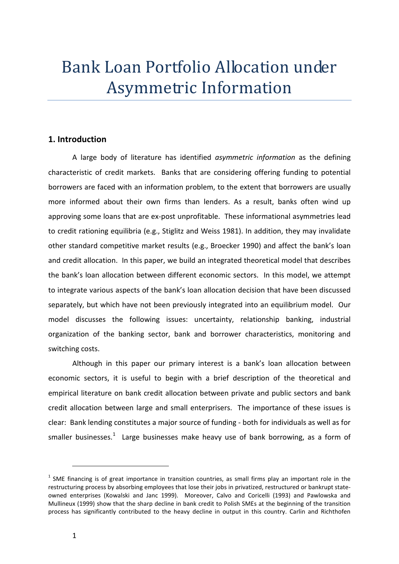# Bank Loan Portfolio Allocation under Asymmetric Information

# **1. Introduction**

A large body of literature has identified *asymmetric information* as the defining characteristic of credit markets. Banks that are considering offering funding to potential borrowers are faced with an information problem, to the extent that borrowers are usually more informed about their own firms than lenders. As a result, banks often wind up approving some loans that are ex-post unprofitable. These informational asymmetries lead to credit rationing equilibria (e.g., Stiglitz and Weiss 1981). In addition, they may invalidate other standard competitive market results (e.g., Broecker 1990) and affect the bank's loan and credit allocation. In this paper, we build an integrated theoretical model that describes the bank's loan allocation between different economic sectors. In this model, we attempt to integrate various aspects of the bank's loan allocation decision that have been discussed separately, but which have not been previously integrated into an equilibrium model. Our model discusses the following issues: uncertainty, relationship banking, industrial organization of the banking sector, bank and borrower characteristics, monitoring and switching costs.

Although in this paper our primary interest is a bank's loan allocation between economic sectors, it is useful to begin with a brief description of the theoretical and empirical literature on bank credit allocation between private and public sectors and bank credit allocation between large and small enterprisers. The importance of these issues is clear: Bank lending constitutes a major source of funding - both for individuals as well as for smaller businesses.<sup>[1](#page-1-0)</sup> Large businesses make heavy use of bank borrowing, as a form of

<span id="page-1-0"></span> $<sup>1</sup>$  SME financing is of great importance in transition countries, as small firms play an important role in the</sup> restructuring process by absorbing employees that lose their jobs in privatized, restructured or bankrupt stateowned enterprises (Kowalski and Janc 1999). Moreover, Calvo and Coricelli (1993) and Pawlowska and Mullineux (1999) show that the sharp decline in bank credit to Polish SMEs at the beginning of the transition process has significantly contributed to the heavy decline in output in this country. Carlin and Richthofen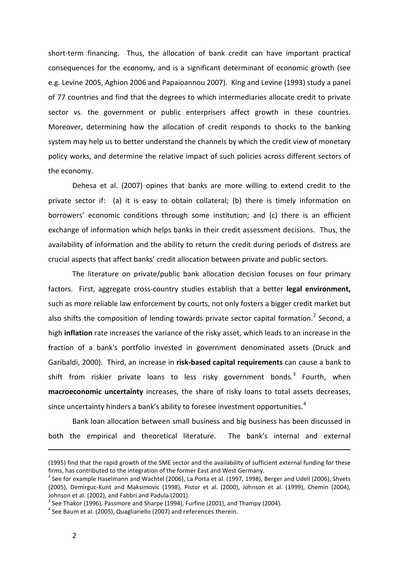short-term financing. Thus, the allocation of bank credit can have important practical consequences for the economy, and is a significant determinant of economic growth (see e.g. Levine 2005, Aghion 2006 and Papaioannou 2007). King and Levine (1993) study a panel of 77 countries and find that the degrees to which intermediaries allocate credit to private sector vs. the government or public enterprisers affect growth in these countries. Moreover, determining how the allocation of credit responds to shocks to the banking system may help us to better understand the channels by which the credit view of monetary policy works, and determine the relative impact of such policies across different sectors of the economy.

Dehesa et al. (2007) opines that banks are more willing to extend credit to the private sector if: (a) it is easy to obtain collateral; (b) there is timely information on borrowers' economic conditions through some institution; and (c) there is an efficient exchange of information which helps banks in their credit assessment decisions. Thus, the availability of information and the ability to return the credit during periods of distress are crucial aspects that affect banks' credit allocation between private and public sectors.

The literature on private/public bank allocation decision focuses on four primary factors. First, aggregate cross-country studies establish that a better **legal environment,** such as more reliable law enforcement by courts, not only fosters a bigger credit market but also shifts the composition of lending towards private sector capital formation.<sup>[2](#page-2-0)</sup> Second, a high **inflation** rate increases the variance of the risky asset, which leads to an increase in the fraction of a bank's portfolio invested in government denominated assets (Druck and Garibaldi, 2000). Third, an increase in **risk-based capital requirements** can cause a bank to shift from riskier private loans to less risky government bonds.<sup>[3](#page-2-1)</sup> Fourth, when **macroeconomic uncertainty** increases, the share of risky loans to total assets decreases, since uncertainty hinders a bank's ability to foresee investment opportunities.<sup>[4](#page-2-2)</sup>

Bank loan allocation between small business and big business has been discussed in both the empirical and theoretical literature. The bank's internal and external

<sup>(1995)</sup> find that the rapid growth of the SME sector and the availability of sufficient external funding for these firms, has contributed to the integration of the former East and West Germany.

<span id="page-2-0"></span> $^2$  See for example Haselmann and Wachtel (2006), La Porta et al. (1997, 1998), Berger and Udell (2006), Shvets (2005), Demirguc-Kunt and Maksimovic (1998), Pistor et al. (2000), Johnson et al. (1999), Chemin (2004), Johnson et al. (2002), and Fabbri and Padula (2001).

<span id="page-2-1"></span> $3$  See Thakor (1996), Passmore and Sharpe (1994), Furfine (2001), and Thampy (2004).

<span id="page-2-2"></span> $4$  See Baum et al. (2005), Quagliariello (2007) and references therein.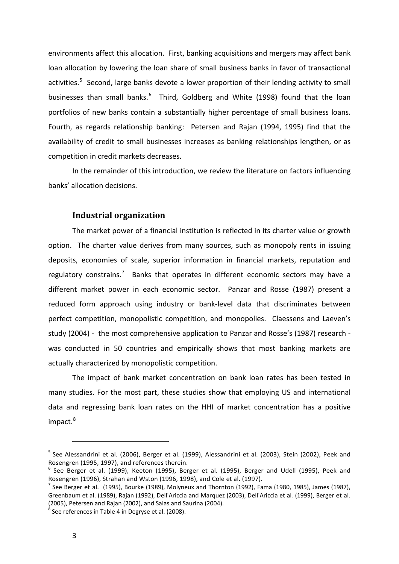environments affect this allocation. First, banking acquisitions and mergers may affect bank loan allocation by lowering the loan share of small business banks in favor of transactional activities.<sup>[5](#page-3-0)</sup> Second, large banks devote a lower proportion of their lending activity to small businesses than small banks.<sup>[6](#page-3-1)</sup> Third, Goldberg and White (1998) found that the loan portfolios of new banks contain a substantially higher percentage of small business loans. Fourth, as regards relationship banking: Petersen and Rajan (1994, 1995) find that the availability of credit to small businesses increases as banking relationships lengthen, or as competition in credit markets decreases.

In the remainder of this introduction, we review the literature on factors influencing banks' allocation decisions.

# **Industrial organization**

The market power of a financial institution is reflected in its charter value or growth option. The charter value derives from many sources, such as monopoly rents in issuing deposits, economies of scale, superior information in financial markets, reputation and regulatory constrains.<sup>[7](#page-3-2)</sup> Banks that operates in different economic sectors may have a different market power in each economic sector. Panzar and Rosse (1987) present a reduced form approach using industry or bank-level data that discriminates between perfect competition, monopolistic competition, and monopolies. Claessens and Laeven's study (2004) - the most comprehensive application to Panzar and Rosse's (1987) research was conducted in 50 countries and empirically shows that most banking markets are actually characterized by monopolistic competition.

The impact of bank market concentration on bank loan rates has been tested in many studies. For the most part, these studies show that employing US and international data and regressing bank loan rates on the HHI of market concentration has a positive impact. [8](#page-3-3)

<span id="page-3-0"></span><sup>&</sup>lt;sup>5</sup> See Alessandrini et al. (2006), Berger et al. (1999), Alessandrini et al. (2003), Stein (2002), Peek and Rosengren (1995, 1997), and references therein.<br><sup>6</sup> See Berger et al. (1999), Keeton (1995), Berger et al. (1995), Berger and Udell (1995), Peek and

<span id="page-3-1"></span>Rosengren (1996), Strahan and Wston (1996, 1998), and Cole et al. (1997).

<span id="page-3-2"></span> $<sup>7</sup>$  See Berger et al. (1995), Bourke (1989), Molyneux and Thornton (1992), Fama (1980, 1985), James (1987),</sup> Greenbaum et al. (1989), Rajan (1992), Dell'Ariccia and Marquez (2003), Dell'Ariccia et al*.* (1999), Berger et al. (2005), Petersen and Rajan (2002), and Salas and Saurina (2004).

<span id="page-3-3"></span> $8$  See references in Table 4 in Degryse et al. (2008).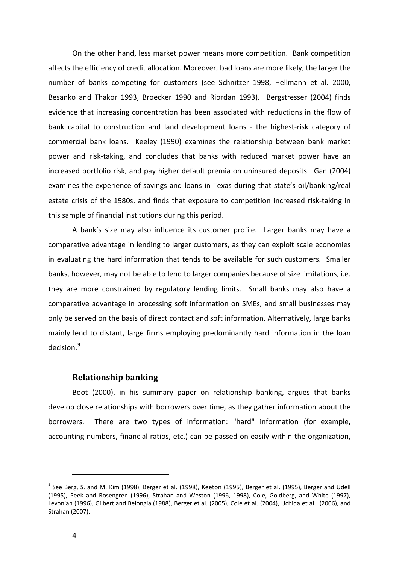On the other hand, less market power means more competition. Bank competition affects the efficiency of credit allocation. Moreover, bad loans are more likely, the larger the number of banks competing for customers (see Schnitzer 1998, Hellmann et al. 2000, Besanko and Thakor 1993, Broecker 1990 and Riordan 1993). Bergstresser (2004) finds evidence that increasing concentration has been associated with reductions in the flow of bank capital to construction and land development loans - the highest-risk category of commercial bank loans. Keeley (1990) examines the relationship between bank market power and risk-taking, and concludes that banks with reduced market power have an increased portfolio risk, and pay higher default premia on uninsured deposits. Gan (2004) examines the experience of savings and loans in Texas during that state's oil/banking/real estate crisis of the 1980s, and finds that exposure to competition increased risk-taking in this sample of financial institutions during this period.

A bank's size may also influence its customer profile. Larger banks may have a comparative advantage in lending to larger customers, as they can exploit scale economies in evaluating the hard information that tends to be available for such customers. Smaller banks, however, may not be able to lend to larger companies because of size limitations, i.e. they are more constrained by regulatory lending limits. Small banks may also have a comparative advantage in processing soft information on SMEs, and small businesses may only be served on the basis of direct contact and soft information. Alternatively, large banks mainly lend to distant, large firms employing predominantly hard information in the loan decision.<sup>[9](#page-4-0)</sup>

# **Relationship banking**

Boot (2000), in his summary paper on relationship banking, argues that banks develop close relationships with borrowers over time, as they gather information about the borrowers. There are two types of information: "hard" information (for example, accounting numbers, financial ratios, etc.) can be passed on easily within the organization,

<span id="page-4-0"></span> $9$  See Berg, S. and M. Kim (1998), Berger et al. (1998), Keeton (1995), Berger et al. (1995), Berger and Udell (1995), Peek and Rosengren (1996), Strahan and Weston (1996, 1998), Cole, Goldberg, and White (1997), Levonian (1996), Gilbert and Belongia (1988), Berger et al. (2005), Cole et al. (2004), Uchida et al. (2006), and Strahan (2007).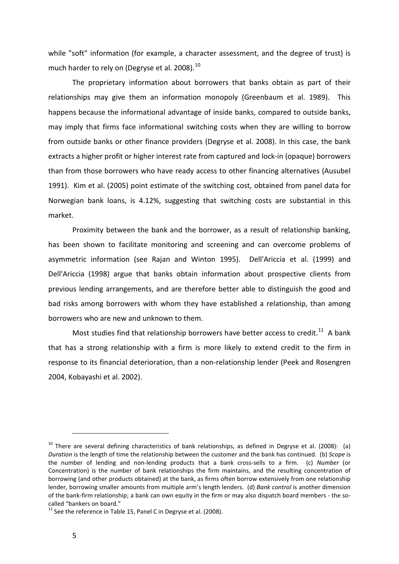while "soft" information (for example, a character assessment, and the degree of trust) is much harder to rely on (Degryse et al. 2008).<sup>[10](#page-5-0)</sup>

The proprietary information about borrowers that banks obtain as part of their relationships may give them an information monopoly (Greenbaum et al. 1989). This happens because the informational advantage of inside banks, compared to outside banks, may imply that firms face informational switching costs when they are willing to borrow from outside banks or other finance providers (Degryse et al. 2008). In this case, the bank extracts a higher profit or higher interest rate from captured and lock-in (opaque) borrowers than from those borrowers who have ready access to other financing alternatives (Ausubel 1991). Kim et al. (2005) point estimate of the switching cost, obtained from panel data for Norwegian bank loans, is 4.12%, suggesting that switching costs are substantial in this market.

Proximity between the bank and the borrower, as a result of relationship banking, has been shown to facilitate monitoring and screening and can overcome problems of asymmetric information (see Rajan and Winton 1995). Dell'Ariccia et al. (1999) and Dell'Ariccia (1998) argue that banks obtain information about prospective clients from previous lending arrangements, and are therefore better able to distinguish the good and bad risks among borrowers with whom they have established a relationship, than among borrowers who are new and unknown to them.

Most studies find that relationship borrowers have better access to credit.<sup>[11](#page-5-1)</sup> A bank that has a strong relationship with a firm is more likely to extend credit to the firm in response to its financial deterioration, than a non-relationship lender (Peek and Rosengren 2004, Kobayashi et al. 2002).

<span id="page-5-0"></span> $10$  There are several defining characteristics of bank relationships, as defined in Degryse et al. (2008): (a) *Duration* is the length of time the relationship between the customer and the bank has continued. (b) *Scope* is the number of lending and non-lending products that a bank cross-sells to a firm. (c) *Number* (or Concentration) is the number of bank relationships the firm maintains, and the resulting concentration of borrowing (and other products obtained) at the bank, as firms often borrow extensively from one relationship lender, borrowing smaller amounts from multiple arm's length lenders. (d) *Bank control* is another dimension of the bank-firm relationship; a bank can own equity in the firm or may also dispatch board members - the socalled "bankers on board."

<span id="page-5-1"></span> $11$  See the reference in Table 15. Panel C in Degryse et al. (2008).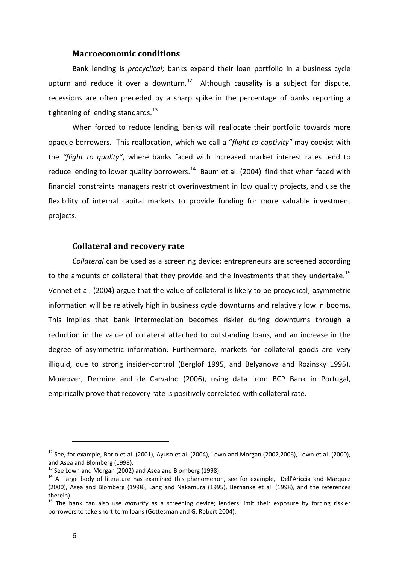# **Macroeconomic conditions**

Bank lending is *procyclical*; banks expand their loan portfolio in a business cycle upturn and reduce it over a downturn. $12$  Although causality is a subject for dispute, recessions are often preceded by a sharp spike in the percentage of banks reporting a tightening of lending standards. $^{13}$  $^{13}$  $^{13}$ 

When forced to reduce lending, banks will reallocate their portfolio towards more opaque borrowers. This reallocation, which we call a "*flight to captivity"* may coexist with the *"flight to quality"*, where banks faced with increased market interest rates tend to reduce lending to lower quality borrowers. $14$  Baum et al. (2004) find that when faced with financial constraints managers restrict overinvestment in low quality projects, and use the flexibility of internal capital markets to provide funding for more valuable investment projects.

# **Collateral and recovery rate**

*Collateral* can be used as a screening device; entrepreneurs are screened according to the amounts of collateral that they provide and the investments that they undertake.<sup>[15](#page-6-3)</sup> Vennet et al. (2004) argue that the value of collateral is likely to be procyclical; asymmetric information will be relatively high in business cycle downturns and relatively low in booms. This implies that bank intermediation becomes riskier during downturns through a reduction in the value of collateral attached to outstanding loans, and an increase in the degree of asymmetric information. Furthermore, markets for collateral goods are very illiquid, due to strong insider-control (Berglof 1995, and Belyanova and Rozinsky 1995). Moreover, Dermine and de Carvalho (2006), using data from BCP Bank in Portugal, empirically prove that recovery rate is positively correlated with collateral rate.

<span id="page-6-0"></span> $12$  See, for example, Borio et al. (2001), Ayuso et al. (2004), Lown and Morgan (2002,2006), Lown et al. (2000), and Asea and Blomberg (1998).

 $^{13}$  See Lown and Morgan (2002) and Asea and Blomberg (1998).

<span id="page-6-2"></span><span id="page-6-1"></span><sup>&</sup>lt;sup>14</sup> A large body of literature has examined this phenomenon, see for example, Dell'Ariccia and Marquez (2000), Asea and Blomberg (1998), Lang and Nakamura (1995), Bernanke et al. (1998), and the references therein).

<span id="page-6-3"></span><sup>15</sup> The bank can also use *maturity* as a screening device; lenders limit their exposure by forcing riskier borrowers to take short-term loans (Gottesman and G. Robert 2004).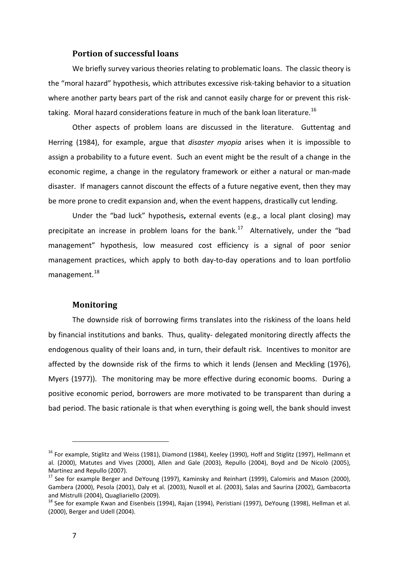# **Portion of successful loans**

We briefly survey various theories relating to problematic loans. The classic theory is the "moral hazard" hypothesis, which attributes excessive risk-taking behavior to a situation where another party bears part of the risk and cannot easily charge for or prevent this risk-taking. Moral hazard considerations feature in much of the bank loan literature.<sup>[16](#page-7-0)</sup>

Other aspects of problem loans are discussed in the literature. Guttentag and Herring (1984), for example, argue that *disaster myopia* arises when it is impossible to assign a probability to a future event. Such an event might be the result of a change in the economic regime, a change in the regulatory framework or either a natural or man-made disaster. If managers cannot discount the effects of a future negative event, then they may be more prone to credit expansion and, when the event happens, drastically cut lending.

Under the "bad luck" hypothesis**,** external events (e.g., a local plant closing) may precipitate an increase in problem loans for the bank.<sup>[17](#page-7-1)</sup> Alternatively, under the "bad management" hypothesis, low measured cost efficiency is a signal of poor senior management practices, which apply to both day-to-day operations and to loan portfolio management. [18](#page-7-2)

## **Monitoring**

The downside risk of borrowing firms translates into the riskiness of the loans held by financial institutions and banks. Thus, quality- delegated monitoring directly affects the endogenous quality of their loans and, in turn, their default risk. Incentives to monitor are affected by the downside risk of the firms to which it lends (Jensen and Meckling (1976), Myers (1977)). The monitoring may be more effective during economic booms. During a positive economic period, borrowers are more motivated to be transparent than during a bad period. The basic rationale is that when everything is going well, the bank should invest

<span id="page-7-0"></span><sup>&</sup>lt;sup>16</sup> For example, Stiglitz and Weiss (1981), Diamond (1984), Keeley (1990), Hoff and Stiglitz (1997), Hellmann et al. (2000), Matutes and Vives (2000), Allen and Gale (2003), Repullo (2004), Boyd and De Nicolò (2005), Martinez and Repullo (2007).

<span id="page-7-1"></span><sup>&</sup>lt;sup>17</sup> See for example Berger and DeYoung (1997), Kaminsky and Reinhart (1999), Calomiris and Mason (2000), Gambera (2000), Pesola (2001), Daly et al. (2003), Nuxoll et al. (2003), Salas and Saurina (2002), Gambacorta and Mistrulli (2004), Quagliariello (2009).

<span id="page-7-2"></span><sup>&</sup>lt;sup>18</sup> See for example Kwan and Eisenbeis (1994), Rajan (1994), Peristiani (1997), DeYoung (1998), Hellman et al. (2000), Berger and Udell (2004).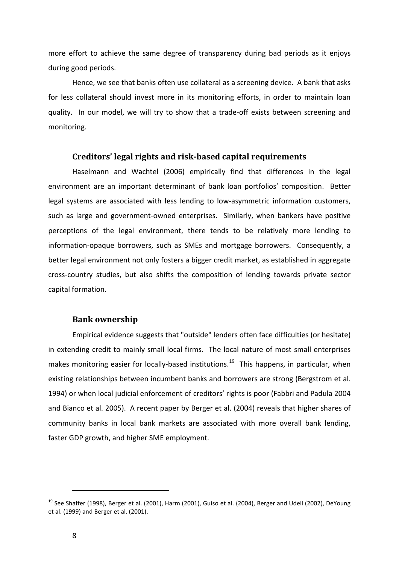more effort to achieve the same degree of transparency during bad periods as it enjoys during good periods.

Hence, we see that banks often use collateral as a screening device. A bank that asks for less collateral should invest more in its monitoring efforts, in order to maintain loan quality. In our model, we will try to show that a trade-off exists between screening and monitoring.

# **Creditors' legal rights and risk-based capital requirements**

Haselmann and Wachtel (2006) empirically find that differences in the legal environment are an important determinant of bank loan portfolios' composition. Better legal systems are associated with less lending to low-asymmetric information customers, such as large and government-owned enterprises. Similarly, when bankers have positive perceptions of the legal environment, there tends to be relatively more lending to information-opaque borrowers, such as SMEs and mortgage borrowers. Consequently, a better legal environment not only fosters a bigger credit market, as established in aggregate cross-country studies, but also shifts the composition of lending towards private sector capital formation.

# **Bank ownership**

Empirical evidence suggests that "outside" lenders often face difficulties (or hesitate) in extending credit to mainly small local firms. The local nature of most small enterprises makes monitoring easier for locally-based institutions.<sup>[19](#page-8-0)</sup> This happens, in particular, when existing relationships between incumbent banks and borrowers are strong (Bergstrom et al. 1994) or when local judicial enforcement of creditors' rights is poor (Fabbri and Padula 2004 and Bianco et al. 2005). A recent paper by Berger et al. (2004) reveals that higher shares of community banks in local bank markets are associated with more overall bank lending, faster GDP growth, and higher SME employment.

<span id="page-8-0"></span><sup>&</sup>lt;sup>19</sup> See Shaffer (1998), Berger et al. (2001), Harm (2001), Guiso et al. (2004), Berger and Udell (2002), DeYoung et al. (1999) and Berger et al. (2001).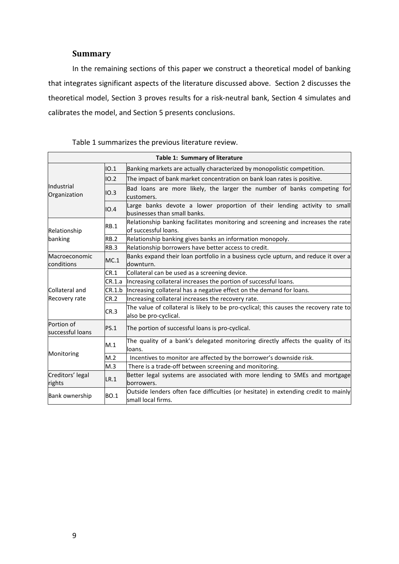# **Summary**

In the remaining sections of this paper we construct a theoretical model of banking that integrates significant aspects of the literature discussed above. Section 2 discusses the theoretical model, Section 3 proves results for a risk-neutral bank, Section 4 simulates and calibrates the model, and Section 5 presents conclusions.

| Table 1: Summary of literature |             |                                                                                                                 |  |
|--------------------------------|-------------|-----------------------------------------------------------------------------------------------------------------|--|
| Industrial<br>Organization     | IO.1        | Banking markets are actually characterized by monopolistic competition.                                         |  |
|                                | IO.2        | The impact of bank market concentration on bank loan rates is positive.                                         |  |
|                                | IO.3        | Bad loans are more likely, the larger the number of banks competing for<br>customers.                           |  |
|                                | IO.4        | Large banks devote a lower proportion of their lending activity to small<br>businesses than small banks.        |  |
| Relationship                   | RB.1        | Relationship banking facilitates monitoring and screening and increases the rate<br>of successful loans.        |  |
| banking                        | <b>RB.2</b> | Relationship banking gives banks an information monopoly.                                                       |  |
|                                | RB.3        | Relationship borrowers have better access to credit.                                                            |  |
| Macroeconomic<br>conditions    | MC.1        | Banks expand their loan portfolio in a business cycle upturn, and reduce it over a<br>downturn.                 |  |
| Collateral and                 | CR.1        | Collateral can be used as a screening device.                                                                   |  |
|                                | CR.1.a      | Increasing collateral increases the portion of successful loans.                                                |  |
|                                | CR.1.b      | Increasing collateral has a negative effect on the demand for loans.                                            |  |
| Recovery rate                  | CR.2        | Increasing collateral increases the recovery rate.                                                              |  |
|                                | CR.3        | The value of collateral is likely to be pro-cyclical; this causes the recovery rate to<br>also be pro-cyclical. |  |
| Portion of<br>successful loans | PS.1        | The portion of successful loans is pro-cyclical.                                                                |  |
|                                | M.1         | The quality of a bank's delegated monitoring directly affects the quality of its<br>loans.                      |  |
| Monitoring                     | M.2         | Incentives to monitor are affected by the borrower's downside risk.                                             |  |
|                                | M.3         | There is a trade-off between screening and monitoring.                                                          |  |
| Creditors' legal<br>rights     | LR.1        | Better legal systems are associated with more lending to SMEs and mortgage<br>borrowers.                        |  |
| <b>Bank ownership</b>          | <b>BO.1</b> | Outside lenders often face difficulties (or hesitate) in extending credit to mainly<br>small local firms.       |  |

Table 1 summarizes the previous literature review.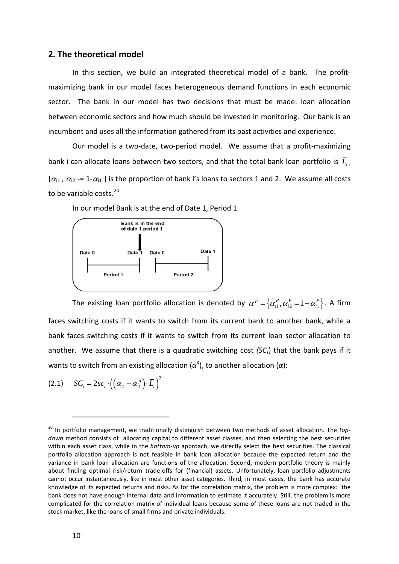# **2. The theoretical model**

In this section, we build an integrated theoretical model of a bank. The profitmaximizing bank in our model faces heterogeneous demand functions in each economic sector. The bank in our model has two decisions that must be made: loan allocation between economic sectors and how much should be invested in monitoring. Our bank is an incumbent and uses all the information gathered from its past activities and experience.

Our model is a two-date, two-period model. We assume that a profit-maximizing bank i can allocate loans between two sectors, and that the total bank loan portfolio is *Li* .  $\{\alpha_{i1}, \alpha_{i2} = 1-\alpha_{i1}\}$  is the proportion of bank i's loans to sectors 1 and 2. We assume all costs to be variable costs.<sup>20</sup>





The existing loan portfolio allocation is denoted by  $\alpha^p = \{\alpha^p_i, \alpha^p_{i2} = 1 - \alpha^p_{i1}\}\.$  A firm faces switching costs if it wants to switch from its current bank to another bank, while a bank faces switching costs if it wants to switch from its current loan sector allocation to another. We assume that there is a quadratic switching cost (SC<sub>i</sub>) that the bank pays if it wants to switch from an existing allocation ( $\alpha^p$ ), to another allocation ( $\alpha$ ):

$$
(2.1) \tSCi = 2sci \cdot ((\alpha_{i1} - \alpha_{i1}^p) \cdot \overline{L}_i)^2
$$

<sup>20</sup> In portfolio management, we traditionally distinguish between two methods of asset allocation. The *topdown* method consists of allocating capital to different asset classes, and then selecting the best securities within each asset class, while in the *bottom-up* approach, we directly select the best securities. The classical portfolio allocation approach is not feasible in bank loan allocation because the expected return and the variance in bank loan allocation are functions of the allocation. Second, modern portfolio theory is mainly about finding optimal risk/return trade-offs for (financial) assets. Unfortunately, loan portfolio adjustments cannot occur instantaneously, like in most other asset categories. Third, in most cases, the bank has accurate knowledge of its expected returns and risks. As for the correlation matrix, the problem is more complex: the bank does not have enough internal data and information to estimate it accurately. Still, the problem is more complicated for the correlation matrix of individual loans because some of these loans are not traded in the stock market, like the loans of small firms and private individuals.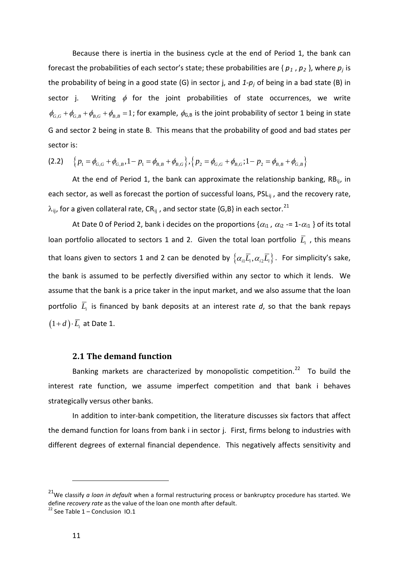Because there is inertia in the business cycle at the end of Period 1, the bank can forecast the probabilities of each sector's state; these probabilities are { $p_1$ ,  $p_2$  }, where  $p_j$  is the probability of being in a good state (G) in sector j, and *1-pj* of being in a bad state (B) in  $\phi_{G,G} + \phi_{G,B} + \phi_{B,G} + \phi_{B,B} = 1$ ; for example,  $\phi_{G,B}$  is the joint probability of sector 1 being in state sector j. Writing  $\phi$  for the joint probabilities of state occurrences, we write G and sector 2 being in state B. This means that the probability of good and bad states per sector is:

$$
(2.2) \quad \left\{p_1 = \phi_{G,G} + \phi_{G,B}, 1 - p_1 = \phi_{B,B} + \phi_{B,G}\right\}, \left\{p_2 = \phi_{G,G} + \phi_{B,G}; 1 - p_2 = \phi_{B,B} + \phi_{G,B}\right\}
$$

At the end of Period 1, the bank can approximate the relationship banking,  $RB_{ii}$ , in each sector, as well as forecast the portion of successful loans, PSL<sub>ii</sub>, and the recovery rate,  $\lambda_{ij}$ , for a given collateral rate, CR<sub>ij</sub>, and sector state {G,B} in each sector.<sup>[21](#page-11-0)</sup>

At Date 0 of Period 2, bank i decides on the proportions { $\alpha_{i1}$ ,  $\alpha_{i2}$  -= 1- $\alpha_{i1}$  } of its total loan portfolio allocated to sectors 1 and 2. Given the total loan portfolio  $\overline{L}_{i}$  , this means that loans given to sectors 1 and 2 can be denoted by  $\{\alpha_{i1}\overline{L}_i,\alpha_{i2}\overline{L}_i\}$ . For simplicity's sake, the bank is assumed to be perfectly diversified within any sector to which it lends. We assume that the bank is a price taker in the input market, and we also assume that the loan portfolio  $\overline{L}_i$  is financed by bank deposits at an interest rate  $d$ , so that the bank repays  $(1+d) \cdot \overline{L}$  at Date 1.

# **2.1 The demand function**

Banking markets are characterized by monopolistic competition.<sup>[22](#page-11-1)</sup> To build the interest rate function, we assume imperfect competition and that bank i behaves strategically versus other banks.

In addition to inter-bank competition, the literature discusses six factors that affect the demand function for loans from bank i in sector j. First, firms belong to industries with different degrees of external financial dependence. This negatively affects sensitivity and

<span id="page-11-0"></span><sup>21</sup>We classify *a loan in default* when a formal restructuring process or bankruptcy procedure has started. We define *recovery rate* as the value of the loan one month after default.

<span id="page-11-1"></span> $22$  See Table 1 – Conclusion IO.1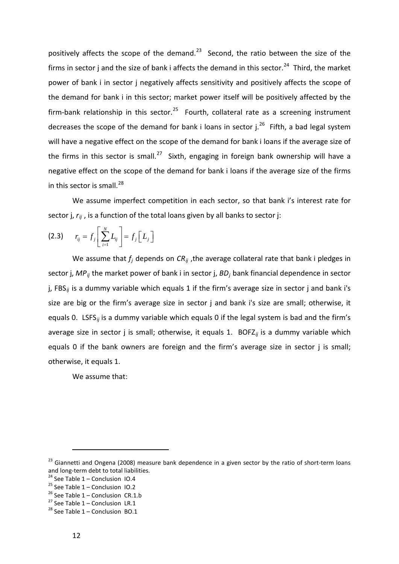positively affects the scope of the demand. $^{23}$  $^{23}$  $^{23}$  Second, the ratio between the size of the firms in sector j and the size of bank i affects the demand in this sector.<sup>[24](#page-12-1)</sup> Third, the market power of bank i in sector j negatively affects sensitivity and positively affects the scope of the demand for bank i in this sector; market power itself will be positively affected by the firm-bank relationship in this sector.<sup>[25](#page-12-2)</sup> Fourth, collateral rate as a screening instrument decreases the scope of the demand for bank i loans in sector  $j.^{26}$  $j.^{26}$  $j.^{26}$  Fifth, a bad legal system will have a negative effect on the scope of the demand for bank i loans if the average size of the firms in this sector is small.<sup>[27](#page-12-4)</sup> Sixth, engaging in foreign bank ownership will have a negative effect on the scope of the demand for bank i loans if the average size of the firms in this sector is small. $^{28}$  $^{28}$  $^{28}$ 

We assume imperfect competition in each sector, so that bank i's interest rate for sector j,  $r_{ij}$  , is a function of the total loans given by all banks to sector j:

$$
(2.3) \qquad r_{ij} = f_j \left[ \sum_{i=1}^N L_{ij} \right] = f_j \left[ L_j \right]
$$

We assume that  $f_i$  depends on  $CR_{ii}$ , the average collateral rate that bank i pledges in sector j, *MPij* the market power of bank i in sector j, *BDj* bank financial dependence in sector j, FBS<sub>ij</sub> is a dummy variable which equals 1 if the firm's average size in sector j and bank i's size are big or the firm's average size in sector j and bank i's size are small; otherwise, it equals 0. LSFS*ij* is a dummy variable which equals 0 if the legal system is bad and the firm's average size in sector j is small; otherwise, it equals 1. BOFZ*ij* is a dummy variable which equals 0 if the bank owners are foreign and the firm's average size in sector j is small; otherwise, it equals 1.

We assume that:

<span id="page-12-0"></span><sup>&</sup>lt;sup>23</sup> Giannetti and Ongena (2008) measure bank dependence in a given sector by the ratio of short-term loans and long-term debt to total liabilities.<br><sup>24</sup> See Table 1 – Conclusion IO.4<br><sup>25</sup> See Table 1 – Conclusion CR.1.b<br><sup>27</sup> See Table 1 – Conclusion LR.1<br><sup>28</sup> See Table 1 – Conclusion BO.1

<span id="page-12-1"></span>

<span id="page-12-2"></span>

<span id="page-12-4"></span><span id="page-12-3"></span>

<span id="page-12-5"></span>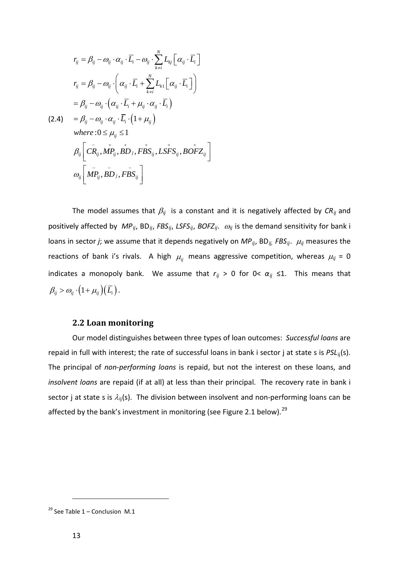$$
r_{ij} = \beta_{ij} - \omega_{ij} \cdot \alpha_{ij} \cdot \overline{L}_i - \omega_{ij} \cdot \sum_{k \neq i}^{N} L_{kj} \left[ \alpha_{ij} \cdot \overline{L}_i \right]
$$
  
\n
$$
r_{ij} = \beta_{ij} - \omega_{ij} \cdot \left( \alpha_{ij} \cdot \overline{L}_i + \sum_{k \neq i}^{N} L_{k1} \left[ \alpha_{ij} \cdot \overline{L}_i \right] \right)
$$
  
\n
$$
= \beta_{ij} - \omega_{ij} \cdot \left( \alpha_{ij} \cdot \overline{L}_i + \mu_{ij} \cdot \alpha_{ij} \cdot \overline{L}_i \right)
$$
  
\n(2.4) 
$$
= \beta_{ij} - \omega_{ij} \cdot \alpha_{ij} \cdot \overline{L}_i \cdot \left( 1 + \mu_{ij} \right)
$$
  
\nwhere  $0 \le \mu_{ij} \le 1$   
\n
$$
\beta_{ij} \left[ C \overline{R}_{ij}, M \overline{P}_{ij}, B \overline{D}_j, F \overline{B} S_{ij}, LS \overline{F} S_{ij}, B \overline{O} F Z_{ij} \right]
$$
  
\n
$$
\omega_{ij} \left[ M \overline{P}_{ij}, B \overline{D}_j, F \overline{B} S_{ij} \right]
$$

The model assumes that  $\beta_{ij}$  is a constant and it is negatively affected by  $CR_{ij}$  and positively affected by *MPij*, BD*ij*, *FBSij*, *LSFSij*, *BOFZij*. <sup>ω</sup>*ij* is the demand sensitivity for bank i loans in sector *j*; we assume that it depends negatively on *MP*<sub>ij</sub>, BD<sub>ij,</sub> FBS<sub>ij</sub>.  $\mu_{ij}$  measures the reactions of bank i's rivals. A high  $\mu_{ij}$  means aggressive competition, whereas  $\mu_{ij}$  = 0 indicates a monopoly bank. We assume that  $r_{ij} > 0$  for  $0 < \alpha_{ij} \leq 1$ . This means that  $\beta_{\scriptscriptstyle ij} > \varpi_{\scriptscriptstyle ij} \cdot \big(1 + \mu_{\scriptscriptstyle ij}\big) \big(\,\overline{L}_{\!\scriptscriptstyle i}\,\big) \hspace{0.5pt} .$ 

## **2.2 Loan monitoring**

Our model distinguishes between three types of loan outcomes: *Successful loans* are repaid in full with interest; the rate of successful loans in bank i sector j at state s is *PSL*ij(s). The principal of *non-performing loans* is repaid, but not the interest on these loans, and *insolvent loans* are repaid (if at all) at less than their principal. The recovery rate in bank i sector j at state s is  $\lambda_{ij}(s)$ . The division between insolvent and non-performing loans can be affected by the bank's investment in monitoring (see Figure 2.1 below).<sup>[29](#page-13-0)</sup>

<span id="page-13-0"></span><sup>&</sup>lt;sup>29</sup> See Table 1 – Conclusion M.1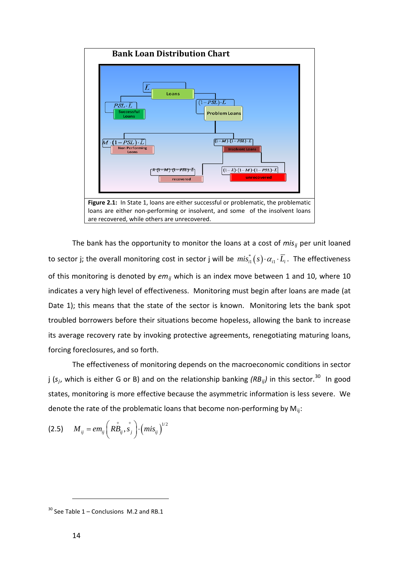

The bank has the opportunity to monitor the loans at a cost of *mis<sub>ij</sub>* per unit loaned to sector j; the overall monitoring cost in sector j will be  $\,mi s^*_{i1}(s) \cdot \alpha_{i1} \cdot \bar{L_i}$ . The effectiveness of this monitoring is denoted by  $em_{ij}$  which is an index move between 1 and 10, where 10 indicates a very high level of effectiveness. Monitoring must begin after loans are made (at Date 1); this means that the state of the sector is known. Monitoring lets the bank spot troubled borrowers before their situations become hopeless, allowing the bank to increase its average recovery rate by invoking protective agreements, renegotiating maturing loans, forcing foreclosures, and so forth.

The effectiveness of monitoring depends on the macroeconomic conditions in sector j (*s <sup>j</sup>*, which is either G or B) and on the relationship banking *(RBij)* in this sector. [30](#page-14-0) In good states, monitoring is more effective because the asymmetric information is less severe. We denote the rate of the problematic loans that become non-performing by  $M_{ij}$ :

$$
(2.5) \tM_{ij} = em_{ij} \left( R \dot{B}_{ij}, s_j \right) \cdot (mis_{ij})^{1/2}
$$

<span id="page-14-0"></span> $30$  See Table 1 – Conclusions M.2 and RB.1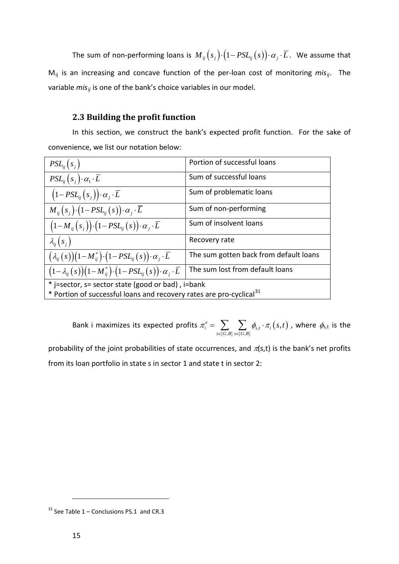The sum of non-performing loans is  $M_{ij}(s_j) \cdot (1 - PSL_{ij}(s)) \cdot \alpha_j \cdot \overline{L}$ . We assume that  $M_{ij}$  is an increasing and concave function of the per-loan cost of monitoring  $mis_{ij}$ . The variable *mis<sub>ij</sub>* is one of the bank's choice variables in our model.

# **2.3 Building the profit function**

In this section, we construct the bank's expected profit function. For the sake of convenience, we list our notation below:

| $PSL_{ii}(s_i)$                                                                       | Portion of successful loans            |  |  |
|---------------------------------------------------------------------------------------|----------------------------------------|--|--|
| $PSL_{ii}(s_i)\cdot\alpha_1\cdot\overline{L}$                                         | Sum of successful loans                |  |  |
| $(1-PSL_{ij}(s_i))\cdot\alpha_j\cdot\overline{L}$                                     | Sum of problematic loans               |  |  |
| $M_{ii}(s_i)\cdot(1-PSL_{ii}(s))\cdot\alpha_i\cdot\overline{L}$                       | Sum of non-performing                  |  |  |
| $(1-M_{ij}(s_i))\cdot (1-PSL_{ij}(s))\cdot \alpha_j\cdot \overline{L}$                | Sum of insolvent loans                 |  |  |
| $\lambda_{ii}(s_i)$                                                                   | Recovery rate                          |  |  |
| $(\lambda_{ii}(s))(1-M_{ii}^*)\cdot(1-PSL_{ii}(s))\cdot\alpha_i\cdot\overline{L}$     | The sum gotten back from default loans |  |  |
| $(1-\lambda_{ii}(s))(1-M_{ii}^*)\cdot(1-PSL_{ii}(s))\cdot\alpha_{i}\cdot\overline{L}$ | The sum lost from default loans        |  |  |
| * j=sector, s= sector state (good or bad), i=bank                                     |                                        |  |  |
| * Portion of successful loans and recovery rates are pro-cyclical <sup>31</sup>       |                                        |  |  |

Bank i maximizes its expected profits  $\pi_i^e = \sum_{s \in \{ G , B \} } \sum_{s \in \{ G , B \} } \oint_{s,t} \cdot \pi_i \big( s,t \big)$  $\mathcal{L}^e_i = \sum_i \sum_j \phi_{s,t} \cdot \pi_i \Big(s,$  $s \in \{G, B\}$   $s \in \{G, B\}$  $\pi_i^e = \sum_i \sum_i \phi_{s,t} \cdot \pi_i(s,t)$  $=\sum\limits_{s\in\{G,\mathcal{B}\}}\sum\limits_{s\in\{G,\mathcal{B}\}}\phi_{s,t}\cdot\pi_{i}\big(s,t\big)$  , where  $\phi_{\text{s,t}}$  is the

probability of the joint probabilities of state occurrences, and  $\pi(s,t)$  is the bank's net profits from its loan portfolio in state s in sector 1 and state t in sector 2:

<span id="page-15-0"></span> $31$  See Table 1 – Conclusions PS.1 and CR.3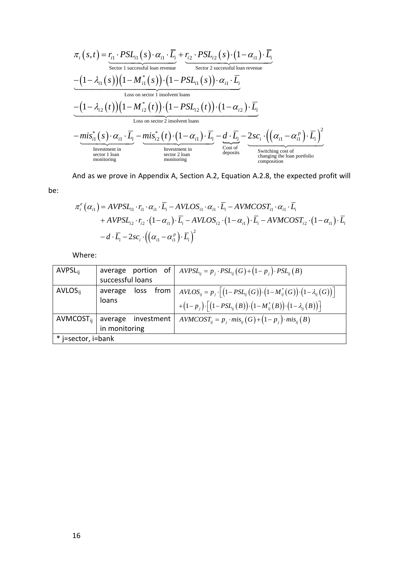$$
\pi_{i}(s,t) = r_{i1} \cdot PSL_{i1}(s) \cdot \alpha_{i1} \cdot \overline{L}_{i} + r_{i2} \cdot PSL_{i2}(s) \cdot (1 - \alpha_{i1}) \cdot \overline{L}_{i}
$$
\n
$$
= (1 - \lambda_{i1}(s))(1 - M_{i1}^{*}(s)) \cdot (1 - PSL_{i1}(s)) \cdot \alpha_{i1} \cdot \overline{L}_{i}
$$
\n
$$
= (1 - \lambda_{i2}(t))(1 - M_{i2}^{*}(t)) \cdot (1 - PSL_{i2}(t)) \cdot (\alpha_{i1} \cdot \overline{L}_{i})
$$
\n
$$
= \frac{(1 - \lambda_{i2}(t))(1 - M_{i2}^{*}(t)) \cdot (1 - PSL_{i2}(t)) \cdot (1 - \alpha_{i2}) \cdot \overline{L}_{i}}{\text{Loss on sector 2 insolvent loans}}
$$
\n
$$
= \underbrace{mis_{i1}^{*}(s) \cdot \alpha_{i1} \cdot \overline{L}_{i}}_{\text{Investment in}} - \underbrace{mis_{i2}^{*}(t) \cdot (1 - \alpha_{i1}) \cdot \overline{L}_{i}}_{\text{Investment in}} - \underbrace{d \cdot \overline{L}_{i}}_{\text{cost of capacity 2 loan}} - \underbrace{2sc_{i} \cdot ((\alpha_{i1} - \alpha_{i1}^{p}) \cdot \overline{L}_{i})^{2}}_{\text{smattering cost of generating the loan portfolio}
$$
\n
$$
= \underbrace{mis_{i1}^{*}(s) \cdot \alpha_{i1} \cdot \overline{L}_{i}}_{\text{motion}
$$

And as we prove in Appendix A, Section A.2, Equation A.2.8, the expected profit will

be:

$$
\pi_i^e(\alpha_{i1}) = AVPSL_{i1} \cdot r_{i1} \cdot \alpha_{i1} \cdot \overline{L}_i - AVLOS_{i1} \cdot \alpha_{i1} \cdot \overline{L}_i - AVMCOST_{i1} \cdot \alpha_{i1} \cdot \overline{L}_i + AVPSL_{i2} \cdot r_{i2} \cdot (1 - \alpha_{i1}) \cdot \overline{L}_i - AVLOS_{i2} \cdot (1 - \alpha_{i1}) \cdot \overline{L}_i - AVMCOST_{i2} \cdot (1 - \alpha_{i1}) \cdot \overline{L}_i - d \cdot \overline{L}_i - 2sc_i \cdot ((\alpha_{i1} - \alpha_{i1}^p) \cdot \overline{L}_i)^2
$$

Where:

| <b>AVPSL</b> <sub>ii</sub> |                                   | average portion of $AVPSL_{ii} = p_i \cdot PSL_{ii}(G) + (1-p_i) \cdot PSL_{ii}(B)$                                                                  |  |  |
|----------------------------|-----------------------------------|------------------------------------------------------------------------------------------------------------------------------------------------------|--|--|
|                            | successful loans                  |                                                                                                                                                      |  |  |
| $AVLOS_{ii}$               | from  <br>average<br>loss         | $AVLOS_{ij} = p_j \cdot \left[ \left( 1 - PSL_{ij}(G) \right) \cdot \left( 1 - M_{ij}^*(G) \right) \cdot \left( 1 - \lambda_{ij}(G) \right) \right]$ |  |  |
|                            | loans                             | $+(1-p_j)\cdot\left[(1-PSL_{ij}(B))\cdot(1-M_{ij}^*(B))\cdot(1-\lambda_{ij}(B))\right]$                                                              |  |  |
|                            | $AVMCOST_{ij}$ average investment | $AVMCOST_{ii} = p_i \cdot mis_{ii} (G) + (1 - p_i) \cdot mis_{ij} (B)$                                                                               |  |  |
|                            | in monitoring                     |                                                                                                                                                      |  |  |
| * j=sector, i=bank         |                                   |                                                                                                                                                      |  |  |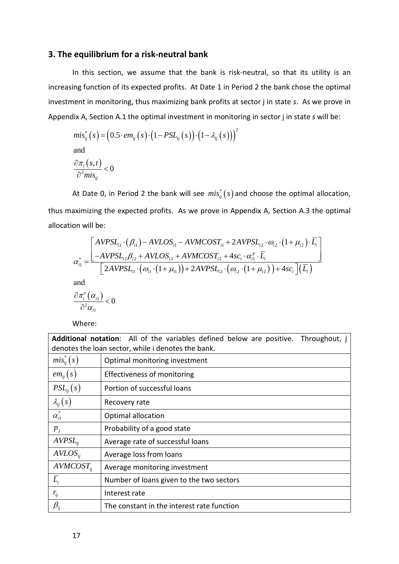# **3. The equilibrium for a risk-neutral bank**

In this section, we assume that the bank is risk-neutral, so that its utility is an increasing function of its expected profits. At Date 1 in Period 2 the bank chose the optimal investment in monitoring, thus maximizing bank profits at sector j in state *s*. As we prove in Appendix A, Section A.1 the optimal investment in monitoring in sector j in state *s* will be:

$$
mis_{ij}^{*}(s) = (0.5 \cdot em_{ij}(s) \cdot (1 - PSL_{ij}(s)) \cdot (1 - \lambda_{ij}(s)))^{2}
$$
  
and  

$$
\frac{\partial \pi_{i}(s,t)}{\partial^{2} mis_{ij}} < 0
$$

At Date 0, in Period 2 the bank will see  $mis_{ii}^*(s)$  and choose the optimal allocation, thus maximizing the expected profits. As we prove in Appendix A, Section A.3 the optimal allocation will be:

$$
\alpha_{i1}^{*} = \frac{\left[ AVPSL_{i1} \cdot (\beta_{i1}) - AVLOS_{i1} - AVMCOST_{i1} + 2AVPSL_{i2} \cdot \omega_{i2} \cdot (1 + \mu_{i2}) \cdot \overline{L_{i}} \right]}{\left[ -AVPSL_{i2} \beta_{i2} + AVLOS_{i2} + AVMCOST_{i2} + 4sc_{i} \cdot \alpha_{i1}^{p} \cdot \overline{L_{i}} \right]}
$$
  

$$
\alpha_{i1}^{*} = \frac{\left[ -AVPSL_{i2} \beta_{i2} + AVLOS_{i2} + AVMCOST_{i2} \cdot (\omega_{i1} \cdot (1 + \mu_{i2})) + 2AVPSL_{i2} \cdot (\omega_{i2} \cdot (1 + \mu_{i2})) + 4sc_{i} \right] (\overline{L_{i}})}{\left[ 2AVPSL_{i1} \cdot (\omega_{i1} \cdot (1 + \mu_{i1})) + 2AVPSL_{i2} \cdot (\omega_{i2} \cdot (1 + \mu_{i2})) + 4sc_{i} \right] (\overline{L_{i}})}
$$

and

$$
\frac{\partial \pi_{i}^{e}\left(\alpha_{i1}\right)}{\partial^{2} \alpha_{i1}} < 0
$$

Where:

**Additional notation**: All of the variables defined below are positive. Throughout, j denotes the loan sector, while i denotes the bank.  $mis_{ii}^*(s)$  **optimal monitoring investment**  $em_{ij}(s)$  [Effectiveness of monitoring  $PSL_{ii}(s)$  | Portion of successful loans  $\lambda_{ij}(s)$  Recovery rate  $\alpha_{i1}^*$  **Optimal allocation**  $\overline{p}_i$  **Probability of a good state**  $AVPSL<sub>ii</sub>$  Average rate of successful loans  $AVLOS_{ij}$  | Average loss from loans  $AVMCOST_{ii}$  | Average monitoring investment  $\overline{L_i}$  Number of loans given to the two sectors  $r_{ij}$  **Interest rate**  $\beta_{ij}$  The constant in the interest rate function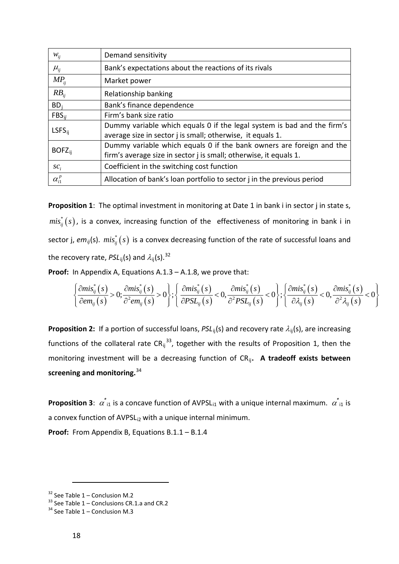| $W_{ij}$         | Demand sensitivity                                                      |
|------------------|-------------------------------------------------------------------------|
| $\mu_{ii}$       | Bank's expectations about the reactions of its rivals                   |
| $MP_{ii}$        | Market power                                                            |
| $RB_{ii}$        | Relationship banking                                                    |
| $BD_i$           | Bank's finance dependence                                               |
| $FBS_{ii}$       | Firm's bank size ratio                                                  |
| $LSFS_{ii}$      | Dummy variable which equals 0 if the legal system is bad and the firm's |
|                  | average size in sector j is small; otherwise, it equals 1.              |
| $BOFZ_{ii}$      | Dummy variable which equals 0 if the bank owners are foreign and the    |
|                  | firm's average size in sector j is small; otherwise, it equals 1.       |
| $\mathcal{SC}_i$ | Coefficient in the switching cost function                              |
| $\alpha_{i1}^p$  | Allocation of bank's loan portfolio to sector j in the previous period  |

Proposition 1: The optimal investment in monitoring at Date 1 in bank i in sector j in state s,  $mis_{ii}^*(s)$ , is a convex, increasing function of the effectiveness of monitoring in bank i in sector j,  $em_{ij}(s)$ .  $mis_{ij}^*(s)$  is a convex decreasing function of the rate of successful loans and the recovery rate, *PSL*<sub>ii</sub>(s) and  $\lambda$ <sub>ii</sub>(s).<sup>[32](#page-18-0)</sup>

**Proof:** In Appendix A, Equations A.1.3 – A.1.8, we prove that:

$$
\left\{\frac{\partial mis_{ij}^*(s)}{\partial em_{ij}(s)} > 0; \frac{\partial mis_{ij}^*(s)}{\partial^2 em_{ij}(s)} > 0\right\}; \left\{\frac{\partial mis_{ij}^*(s)}{\partial PSL_{ij}(s)} < 0, \frac{\partial mis_{ij}^*(s)}{\partial^2 PSL_{ij}(s)} < 0\right\}; \left\{\frac{\partial mis_{ij}^*(s)}{\partial \lambda_{ij}(s)} < 0, \frac{\partial mis_{ij}^*(s)}{\partial^2 \lambda_{ij}(s)} < 0\right\}
$$

**Proposition 2:** If a portion of successful loans, *PSL*<sub>ii</sub>(s) and recovery rate  $\lambda_{ij}(s)$ , are increasing functions of the collateral rate  $CR_{ij}^{33}$  $CR_{ij}^{33}$  $CR_{ij}^{33}$ , together with the results of Proposition 1, then the monitoring investment will be a decreasing function of CRij**. A tradeoff exists between screening and monitoring.**[34](#page-18-0)

**Proposition 3**:  $\alpha^*_{i1}$  is a concave function of AVPSL<sub>i1</sub> with a unique internal maximum.  $\alpha^*_{i1}$  is a convex function of AVPSL<sub>i2</sub> with a unique internal minimum.

**Proof:** From Appendix B, Equations B.1.1 – B.1.4

<span id="page-18-0"></span>

<sup>&</sup>lt;sup>32</sup> See Table 1 – Conclusion M.2<br><sup>33</sup> See Table 1 – Conclusions CR.1.a and CR.2

 $34$  See Table 1 – Conclusion M.3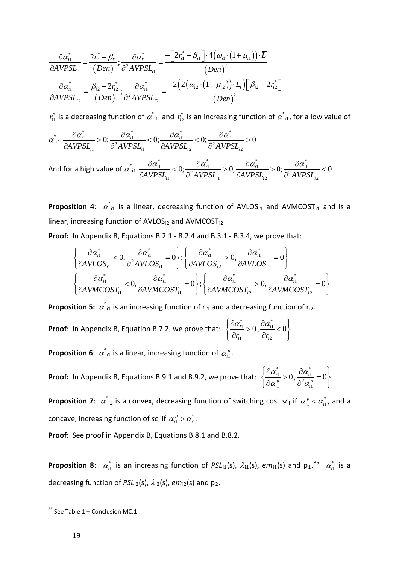$$
\frac{\partial \alpha_{i1}^*}{\partial AVPSL_{i1}} = \frac{2r_{i1}^* - \beta_{i1}}{(Den)}; \frac{\partial \alpha_{i1}^*}{\partial AVPSL_{i1}} = \frac{-\left[2r_{i1}^* - \beta_{i1}\right] \cdot 4\left(\omega_{i1} \cdot \left(1 + \mu_{i1}\right)\right) \cdot \overline{L}}{\left(Den\right)^2}
$$
\n
$$
\frac{\partial \alpha_{i1}^*}{\partial AVPSL_{i2}} = \frac{\beta_{i2} - 2r_{i2}^*}{\left(Den\right)}; \frac{\partial \alpha_{i1}^*}{\partial AVPSL_{i2}} = \frac{-2\left(2\left(\omega_{i2} \cdot \left(1 + \mu_{i2}\right)\right) \cdot \overline{L_i}\right)\left[\beta_{i2} - 2r_{i2}^*\right]}{\left(Den\right)^2}
$$

 $r_{i1}^*$  is a decreasing function of  $\alpha^*_{i1}$  and  $r_{i2}^*$  is an increasing function of  $\alpha^*_{i1}$ , for a low value of

$$
\alpha^*_{i1} \frac{\partial \alpha^*_{i1}}{\partial AVPSL_{i1}} > 0; \frac{\partial \alpha^*_{i1}}{\partial^2 AVPSL_{i1}} < 0; \frac{\partial \alpha^*_{i1}}{\partial AVPSL_{i2}} < 0; \frac{\partial \alpha^*_{i1}}{\partial^2 AVPSL_{i2}} > 0
$$

And for a high value of  $\alpha^{*}_{\ i1}$ \*  $\lambda \alpha^*$   $\lambda \alpha^*$   $\lambda \alpha^*$   $\lambda \alpha^*$  $\frac{1}{1}$   $\lt 0$   $\frac{cu_{i1}}{1}$   $\lt 0$   $\frac{cu_{i1}}{1}$   $\lt 0$   $\frac{cu_{i1}}{1}$ <sup>2</sup> AVDCI<sup> $\sim$ </sup> 2AVDCI $\sim$ <sup>2</sup>  $\mu_{i1}$   $\sigma_{i1}$   $\sigma_{i2}$   $\sigma_{i2}$   $\sigma_{i1}$   $\sigma_{i2}$  $\frac{d\hat{u}}{dt} < 0; \frac{\partial u_{i1}}{\partial^2 t \sin \theta} > 0; \frac{\partial u_{i1}}{\partial t \sin \theta} > 0; \frac{\partial u_{i1}}{\partial^2 t \sin \theta} < 0$  $AVPSL_{i1}$   $\partial^2 AVPSL_{i1}$   $\partial AVPSL_{i2}$   $\partial^2 AVPSL_{i2}$  $\frac{\partial \alpha_{i1}^*}{\partial \alpha_{i2}^*}$  < 0;  $\frac{\partial \alpha_{i1}^*}{\partial \alpha_{i3}^*}$  > 0;  $\frac{\partial \alpha_{i1}^*}{\partial \alpha_{i3}^*}$  > 0;  $\frac{\partial \alpha_{i1}^*}{\partial \alpha_{i3}^*}$  <  $\partial AVPSL_{i1} \longrightarrow \partial^2 AVPSL_{i1} \longrightarrow \partial AVPSL_{i2} \longrightarrow \partial^2 VPSL_{i3}$ 

**Proposition 4:**  $\alpha^*_{11}$  is a linear, decreasing function of AVLOS<sub>11</sub> and AVMCOST<sub>11</sub> and is a linear, increasing function of AVLOS<sub>i2</sub> and AVMCOST<sub>i2</sub>

**Proof:** In Appendix B, Equations B.2.1 - B.2.4 and B.3.1 - B.3.4, we prove that:

$$
\left\{\frac{\partial \alpha_{i1}^*}{\partial AVLOS_{i1}} < 0, \frac{\partial \alpha_{i1}^*}{\partial AVLOS_{i1}} = 0\right\}; \left\{\frac{\partial \alpha_{i1}^*}{\partial AVLOS_{i2}} > 0, \frac{\partial \alpha_{i1}^*}{\partial AVLOS_{i2}} = 0\right\}
$$
\n
$$
\left\{\frac{\partial \alpha_{i1}^*}{\partial AVUOST_{i1}} < 0, \frac{\partial \alpha_{i1}^*}{\partial AVMCOST_{i1}} = 0\right\}; \left\{\frac{\partial \alpha_{i1}^*}{\partial AVMCOST_{i2}} > 0, \frac{\partial \alpha_{i1}^*}{\partial AVMCOST_{i2}} = 0\right\}
$$

**Proposition 5:**  $\alpha^*_{i1}$  is an increasing function of  $r_{i1}$  and a decreasing function of  $r_{i2}$ .

 $z^*$   $\partial \alpha^*$  $\frac{1}{2}$  1  $\frac{0}{2}$   $\frac{0}{11}$  $\mathbf{v}_{i2}$  $\frac{i}{i} > 0, \frac{6a_{i1}}{2} < 0$  $r_{i1}$   $\partial r_{i}$  $\left[\begin{array}{cc} \partial \alpha_{i1}^* & \partial \alpha_{i1}^* & \end{array}\right]$  $\left\{\frac{\partial u_{i1}}{\partial x} > 0, \frac{\partial u_{i1}}{\partial y} < 0\right\}$  $\left[\begin{array}{cc} \partial r_{i1} & \partial r_{i2} \end{array}\right]$ **Proof**: In Appendix B, Equation B.7.2, we prove that:  $\left\{\frac{\partial \alpha_{i1}}{\partial n} > 0, \frac{\partial \alpha_{i1}}{\partial n} < 0\right\}$ .

**Proposition 6**:  $\alpha^*_{i1}$  is a linear, increasing function of  $\alpha^p_{i1}$ .

**Proof:** In Appendix B, Equations B.9.1 and B.9.2, we prove that: \*  $a^*$  $\frac{1}{2}$  1  $\frac{0}{2}$   $\frac{0}{11}$ 2  $\mathfrak{u}_{i1}$   $\mathfrak{u}_{i1}$  $\frac{i}{p} > 0$ ,  $\frac{\partial \alpha_{i1}}{\partial^2 \alpha^p} = 0$  $i$ <sup>i</sup>  $\alpha$ <sup>i</sup>  $\alpha$   $\alpha$  $\left\{\frac{\partial \alpha_{i1}^*}{\partial \alpha_{i1}^p} > 0, \frac{\partial \alpha_{i1}^*}{\partial^2 \alpha_{i1}^p} = 0\right\}$  $\left(\partial \alpha_{i1}^p \qquad \partial^2 \alpha_{i1}^p \qquad \right)$ 

**Proposition 7**:  $\alpha^*_{i1}$  is a convex, decreasing function of switching cost  $sc_i$  if  $\alpha^p_{i1} < \alpha^*_{i1}$ , and a concave, increasing function of  $\mathsf{sc}_{i}$  if  $\alpha_{i1}^{p} > \alpha_{i1}^{*}$ .

**Proof**: See proof in Appendix B, Equations B.8.1 and B.8.2.

**Proposition 8**:  $\alpha_{i1}^*$  is an increasing function of *PSL*<sub>i1</sub>(s),  $\lambda_{i1}$ (s),  $em_{i1}$ (s) and  $p_1$ .<sup>[35](#page-19-0)</sup>  $\alpha_{i1}^*$  is a decreasing function of PSL<sub>i2</sub>(s),  $\lambda_{12}$ (s), *em*<sub>i2</sub>(s) and p<sub>2</sub>.

<span id="page-19-0"></span> $35$  See Table 1 – Conclusion MC.1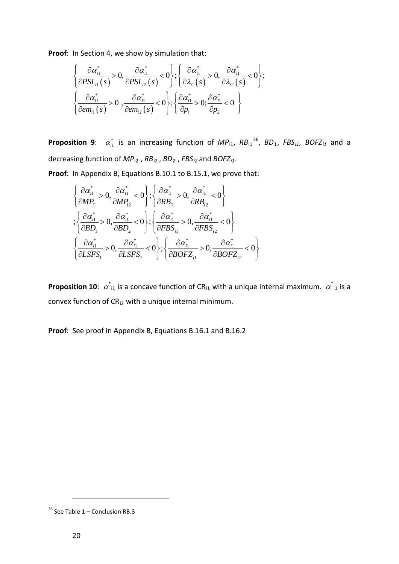**Proof**: In Section 4, we show by simulation that:

$$
\left\{\frac{\partial \alpha_{i1}^*}{\partial PSL_{i1}(s)} > 0, \frac{\partial \alpha_{i1}^*}{\partial PSL_{i2}(s)} < 0\right\}; \left\{\frac{\partial \alpha_{i1}^*}{\partial \lambda_{i1}(s)} > 0, \frac{\partial \alpha_{i1}^*}{\partial \lambda_{i2}(s)} < 0\right\};\newline \left\{\frac{\partial \alpha_{i1}^*}{\partial em_{i1}(s)} > 0, \frac{\partial \alpha_{i1}^*}{\partial em_{i2}(s)} < 0\right\}; \left\{\frac{\partial \alpha_{i1}^*}{\partial p_1} > 0; \frac{\partial \alpha_{i1}^*}{\partial p_2} < 0\right\}
$$

**Proposition 9**:  $\alpha_{i1}^*$  is an increasing function of  $MP_{i1}$ ,  $RB_{i1}^{36}$ ,  $BD_1$ ,  $FBS_{i1}$ ,  $BOFZ_{i1}$  and a decreasing function of *MP*i2 , *RB*i2 , *BD*<sup>2</sup> , *FBSi2* and *BOFZi1* .

**Proof**: In Appendix B, Equations B.10.1 to B.15.1, we prove that:

$$
\begin{aligned}\n&\left\{\frac{\partial \alpha_{i1}^*}{\partial MP_{i1}} > 0, \frac{\partial \alpha_{i1}^*}{\partial MP_{i2}} < 0\right\}; \left\{\frac{\partial \alpha_{i1}^*}{\partial RB_{i1}} > 0, \frac{\partial \alpha_{i1}^*}{\partial RB_{i2}} < 0\right\} \\
&\left\{\frac{\partial \alpha_{i1}^*}{\partial BD_1} > 0, \frac{\partial \alpha_{i1}^*}{\partial BD_2} < 0\right\}; \left\{\frac{\partial \alpha_{i1}^*}{\partial FBS_{i1}} > 0, \frac{\partial \alpha_{i1}^*}{\partial FBS_{i2}} < 0\right\} \\
&\left\{\frac{\partial \alpha_{i1}^*}{\partial LSFS_1} > 0, \frac{\partial \alpha_{i1}^*}{\partial LSFS_2} < 0\right\}; \left\{\frac{\partial \alpha_{i1}^*}{\partial BOFZ_{i1}} > 0, \frac{\partial \alpha_{i1}^*}{\partial BOFZ_{i2}} < 0\right\}\n\end{aligned}
$$

**Proposition 10**:  $\alpha^*_{11}$  is a concave function of CR<sub>i1</sub> with a unique internal maximum.  $\alpha^*_{11}$  is a convex function of  $CR_{i2}$  with a unique internal minimum.

**Proof**: See proof in Appendix B, Equations B.16.1 and B.16.2

<span id="page-20-0"></span> $36$  See Table 1 – Conclusion RB.3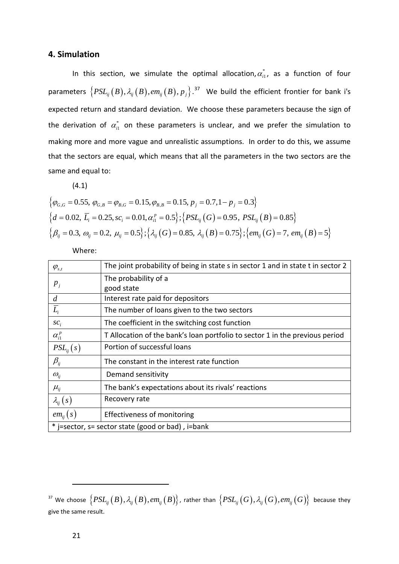# **4. Simulation**

In this section, we simulate the optimal allocation,  $\alpha_{i1}^*$ , as a function of four parameters  $\left\{\mathit{PSL}_{ij}(B),\lambda_{ij}(B),\mathit{em}_{ij}(B),\mathit{p}_j\right\}.^{37}$  $\left\{\mathit{PSL}_{ij}(B),\lambda_{ij}(B),\mathit{em}_{ij}(B),\mathit{p}_j\right\}.^{37}$  $\left\{\mathit{PSL}_{ij}(B),\lambda_{ij}(B),\mathit{em}_{ij}(B),\mathit{p}_j\right\}.^{37}$  We build the efficient frontier for bank i's the derivation of  $\alpha_{i1}^*$  on these parameters is unclear, and we prefer the simulation to expected return and standard deviation. We choose these parameters because the sign of making more and more vague and unrealistic assumptions. In order to do this, we assume that the sectors are equal, which means that all the parameters in the two sectors are the same and equal to:

(4.1)

$$
\begin{aligned}\n\{\varphi_{G,G} = 0.55, \ \varphi_{G,B} = \varphi_{B,G} = 0.15, \varphi_{B,B} = 0.15, \ p_j = 0.7, 1 - p_j = 0.3\} \\
\{d = 0.02, \ \overline{L}_i = 0.25, \ sc_i = 0.01, \alpha_{i1}^P = 0.5\}; \{PSL_{ij}(G) = 0.95, \ PSL_{ij}(B) = 0.85\} \\
\{\beta_{ij} = 0.3, \ \omega_{ij} = 0.2, \ \mu_{ij} = 0.5\}; \{\lambda_{ij}(G) = 0.85, \ \lambda_{ij}(B) = 0.75\}; \{em_{ij}(G) = 7, \ em_{ij}(B) = 5\}\n\end{aligned}
$$

Where:

| $\varphi_{s,t}$                                   | The joint probability of being in state s in sector 1 and in state t in sector 2 |  |  |  |
|---------------------------------------------------|----------------------------------------------------------------------------------|--|--|--|
| $p_{j}$                                           | The probability of a                                                             |  |  |  |
|                                                   | good state                                                                       |  |  |  |
| $\overline{d}$                                    | Interest rate paid for depositors                                                |  |  |  |
| $\overline{L}_{i}$                                | The number of loans given to the two sectors                                     |  |  |  |
| $\mathcal{SC}_i$                                  | The coefficient in the switching cost function                                   |  |  |  |
| $\alpha_{i1}^p$                                   | T Allocation of the bank's loan portfolio to sector 1 in the previous period     |  |  |  |
| $PSL_{ii}(s)$                                     | Portion of successful loans                                                      |  |  |  |
| $\beta_{\scriptscriptstyle ij}$                   | The constant in the interest rate function                                       |  |  |  |
| $\omega_{ij}$                                     | Demand sensitivity                                                               |  |  |  |
| $\mu_{ij}$                                        | The bank's expectations about its rivals' reactions                              |  |  |  |
| $\lambda_{ii}(s)$                                 | Recovery rate                                                                    |  |  |  |
| $em_{ii}(s)$                                      | Effectiveness of monitoring                                                      |  |  |  |
| * j=sector, s= sector state (good or bad), i=bank |                                                                                  |  |  |  |

<span id="page-21-0"></span> $B^3$  We choose  $\left\{PSL_{ij}(B), \lambda_{ij}(B), em_{ij}(B) \right\}$ , rather than  $\left\{PSL_{ij}(G), \lambda_{ij}(G), em_{ij}(G) \right\}$  because they give the same result.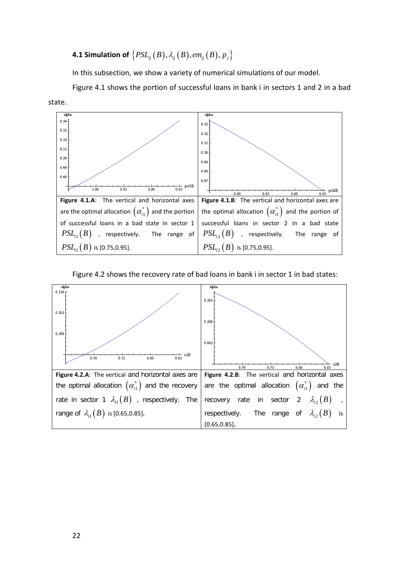# **4.1 Simulation of**  ${PSL_{ij}(B), \lambda_{ij}(B), em_{ij}(B), p}$

In this subsection, we show a variety of numerical simulations of our model.

Figure 4.1 shows the portion of successful loans in bank i in sectors 1 and 2 in a bad





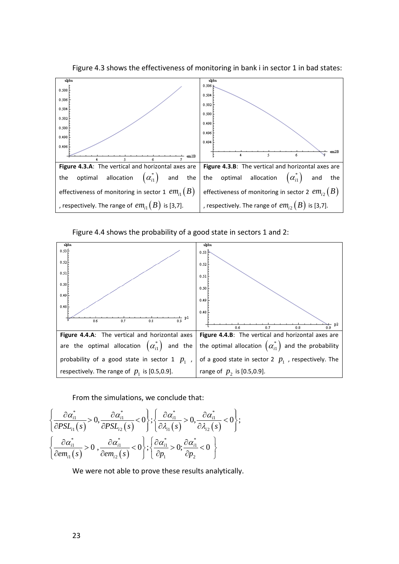

Figure 4.3 shows the effectiveness of monitoring in bank i in sector 1 in bad states:

Figure 4.4 shows the probability of a good state in sectors 1 and 2:



From the simulations, we conclude that:

$$
\left\{\frac{\partial \alpha_{i1}^*}{\partial PSL_{i1}(s)} > 0, \frac{\partial \alpha_{i1}^*}{\partial PSL_{i2}(s)} < 0\right\}; \left\{\frac{\partial \alpha_{i1}^*}{\partial \lambda_{i1}(s)} > 0, \frac{\partial \alpha_{i1}^*}{\partial \lambda_{i2}(s)} < 0\right\};\left\{\frac{\partial \alpha_{i1}^*}{\partial em_{i1}(s)} > 0, \frac{\partial \alpha_{i1}^*}{\partial em_{i2}(s)} < 0\right\}; \left\{\frac{\partial \alpha_{i1}^*}{\partial p_1} > 0; \frac{\partial \alpha_{i1}^*}{\partial p_2} < 0\right\}
$$

We were not able to prove these results analytically.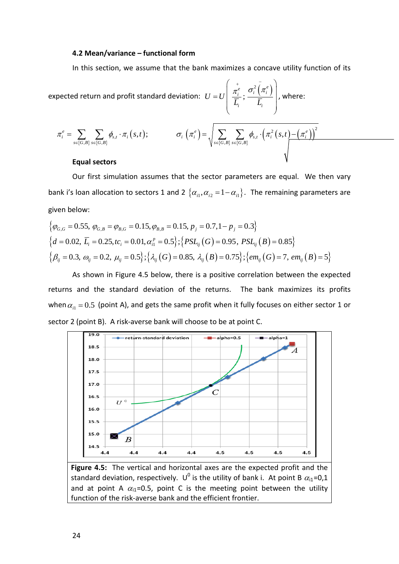#### **4.2 Mean/variance – functional form**

In this section, we assume that the bank maximizes a concave utility function of its

expected return and profit standard deviation:  $U = U \frac{\pi_i^e}{\overline{\pi}}$ ;  $\frac{\sigma_i^2(\pi_i^e)}{\overline{\pi}}$  $\mathbf{i}$   $\mathbf{v}_i$  $U = U$  $L_i$   $L$  $\pi^e$   $\sigma$ ,  $\pi$  $\begin{pmatrix} + & - \\ 2 & 1 \end{pmatrix}$  $= U \left| \begin{array}{c} \pi_i^e \ \overline{f} \end{array}; \frac{\sigma_i^2\left(\pi_i^e\right)}{\overline{f}} \right|$  $\left( \begin{array}{ccc} L_i & & L_i \ & & \end{array} \right)$ , where:  $(s,t)$  $\{G,B\}$   $s \in \{G,B\}$  $\left(\pi_i^e\right) = \begin{bmatrix} \sum \end{bmatrix} \sum \phi_{s,t} \cdot \left(\pi_i^2\left(s,t\right) - \left(\pi_i^e\right)\right)$  $\{G,B\}$   $s \in \{G,B\}$  $2(a+1)(\pi^{e})^2$  $\mathcal{L}_i$ ,  $\mathcal{L}_i$ ,  $\mathcal{L}_j$ ,  $\mathcal{L}_j$ ,  $\mathcal{L}_j$ ,  $\mathcal{L}_j$ ,  $\mathcal{L}_j$ ,  $\mathcal{L}_j$ ,  $\mathcal{L}_j$ ,  $\mathcal{L}_j$ ,  $\mathcal{L}_j$ ,  $\mathcal{L}_j$ ,  $\mathcal{L}_j$ ,  $\mathcal{L}_j$ ,  $\mathcal{L}_j$ ,  $\mathcal{L}_j$ ,  $\mathcal{L}_j$ ,  $\mathcal{L}_j$ ,  $\mathcal{L}_j$ ,  $\mathcal{L}_j$ ,  $\{S\}$   $s \in \{G, B\}$   $s \in \{G, B\}$   $s \in \{G, B\}$  $\sigma_{i} e^{e} = \sum_{i} \sum_{i} \phi_{s,t} \cdot \pi_{i} \left( s,t \right); \qquad \qquad \sigma_{i} \left( \pi_{i}^{e} \right) = \left. \right\vert \sum_{i} \sum_{i} \phi_{s,t} \cdot \left( \pi_{i}^{2} \left( s,t \right) - \left( \pi_{i}^{e} \right) \right) \, .$  $s \in \{G, B\}$   $s \in \{G, B\}$  $\pi_i^e = \sum_i \sum_j \phi_{s,t} \cdot \pi_i(s,t); \qquad \sigma_i^e = \sum_i \sum_j \phi_{s,t} \cdot (\pi_i^2(s,t) - (\pi_i^2(s,t))$  $\mathcal{E} = \sum_{s \in \{G, B\}} \sum_{s \in \{G, B\}} \phi_{s,t} \cdot \pi_i\left(s,t\right); \qquad \qquad \sigma_i\left(\pi_i^e\right) = \sqrt{\sum_{s \in \{G, B\}} \sum_{s \in \{G, B\}} \phi_{s,t} \cdot \left(\pi_i^2\left(s,t\right) - \pi_i^2\left(s,t\right)\right)}$ 

### **Equal sectors**

Our first simulation assumes that the sector parameters are equal. We then vary bank i's loan allocation to sectors 1 and 2  $\{\alpha_{i1}, \alpha_{i2} = 1 - \alpha_{i1}\}\.$  The remaining parameters are given below:

$$
\begin{aligned}\n\{\varphi_{G,G} = 0.55, \ \varphi_{G,B} = \varphi_{B,G} = 0.15, \varphi_{B,B} = 0.15, \ p_j = 0.7, 1 - p_j = 0.3\} \\
\{d = 0.02, \ \overline{L}_i = 0.25, tc_i = 0.01, \alpha_{i1}^p = 0.5\}; \{PSL_{ij}(G) = 0.95, \ PSL_{ij}(B) = 0.85\} \\
\{\beta_{ij} = 0.3, \ \omega_{ij} = 0.2, \ \mu_{ij} = 0.5\}; \{\lambda_{ij}(G) = 0.85, \ \lambda_{ij}(B) = 0.75\}; \{em_{ij}(G) = 7, \ em_{ij}(B) = 5\}\n\end{aligned}
$$

As shown in Figure 4.5 below, there is a positive correlation between the expected returns and the standard deviation of the returns. The bank maximizes its profits when  $\alpha_{i1} = 0.5$  (point A), and gets the same profit when it fully focuses on either sector 1 or sector 2 (point B). A risk-averse bank will choose to be at point C.



**Figure 4.5:** The vertical and horizontal axes are the expected profit and the standard deviation, respectively. U<sup>0</sup> is the utility of bank i. At point B  $\alpha_{i1}$ =0,1 and at point A  $\alpha_{i1}$ =0.5, point C is the meeting point between the utility function of the risk-averse bank and the efficient frontier.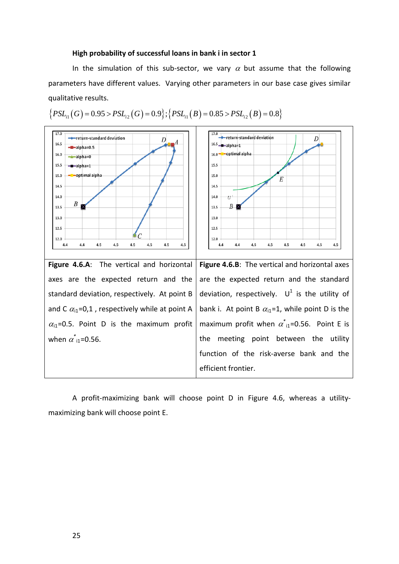#### **High probability of successful loans in bank i in sector 1**

In the simulation of this sub-sector, we vary  $\alpha$  but assume that the following parameters have different values. Varying other parameters in our base case gives similar qualitative results.

![](_page_25_Figure_2.jpeg)

$$
\{PSL_{i1}(G) = 0.95 > PSL_{i2}(G) = 0.9\}; \{PSL_{i1}(B) = 0.85 > PSL_{i2}(B) = 0.8\}
$$

A profit-maximizing bank will choose point D in Figure 4.6, whereas a utilitymaximizing bank will choose point E.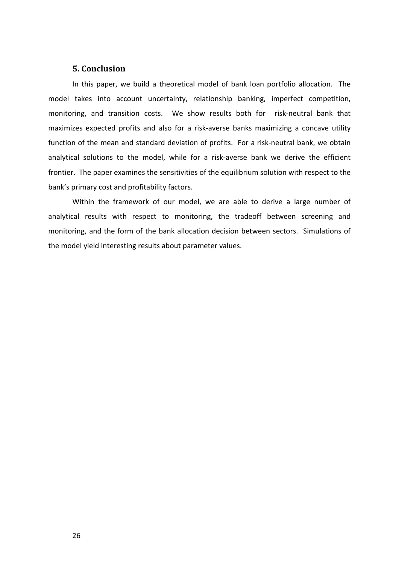# **5. Conclusion**

In this paper, we build a theoretical model of bank loan portfolio allocation. The model takes into account uncertainty, relationship banking, imperfect competition, monitoring, and transition costs. We show results both for risk-neutral bank that maximizes expected profits and also for a risk-averse banks maximizing a concave utility function of the mean and standard deviation of profits. For a risk-neutral bank, we obtain analytical solutions to the model, while for a risk-averse bank we derive the efficient frontier. The paper examines the sensitivities of the equilibrium solution with respect to the bank's primary cost and profitability factors.

Within the framework of our model, we are able to derive a large number of analytical results with respect to monitoring, the tradeoff between screening and monitoring, and the form of the bank allocation decision between sectors. Simulations of the model yield interesting results about parameter values.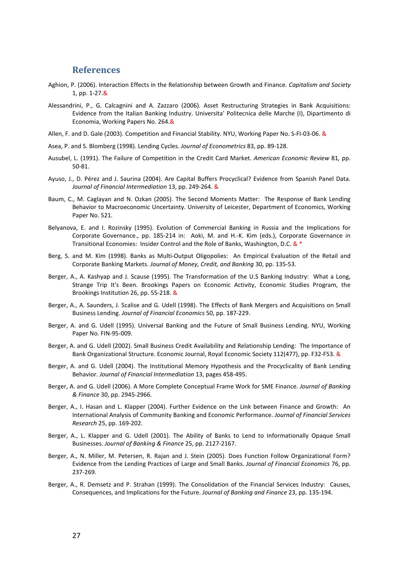# **References**

- Aghion, P. (2006). Interaction Effects in the Relationship between Growth and Finance. *Capitalism and Society*  1, pp. 1-27.&
- Alessandrini, P., G. Calcagnini and A. Zazzaro (2006). Asset Restructuring Strategies in Bank Acquisitions: Evidence from the Italian Banking Industry. Universita' Politecnica delle Marche (I), Dipartimento di Economia, Working Papers No. 264.&
- Allen, F. and D. Gale (2003). Competition and Financial Stability. NYU, Working Paper No. S-FI-03-06. &
- Asea, P. and S. Blomberg (1998). Lending Cycles. *Journal of Econometrics* 83, pp. 89-128.
- Ausubel, L. (1991). The Failure of Competition in the Credit Card Market. *American Economic Review* 81*,* pp. 50-81.
- Ayuso, J., D. Pérez and J. Saurina (2004). Are Capital Buffers Procyclical? Evidence from Spanish Panel Data. *Journal of Financial Intermediation* 13, pp. 249-264. &
- Baum, C., M. Caglayan and N. Ozkan (2005). The Second Moments Matter: The Response of Bank Lending Behavior to Macroeconomic Uncertainty. University of Leicester, Department of Economics, Working Paper No. 521.
- Belyanova, E. and I. Rozinsky (1995). Evolution of Commercial Banking in Russia and the Implications for Corporate Governance., pp. 185-214 in: Aoki, M. and H.-K. Kim (eds.), Corporate Governance in Transitional Economies: Insider Control and the Role of Banks, Washington, D.C. & \*
- Berg, S. and M. Kim (1998). Banks as Multi-Output Oligopolies: An Empirical Evaluation of the Retail and Corporate Banking Markets. *Journal of Money, Credit, and Banking* 30, pp. 135-53.
- Berger, A., A. Kashyap and J. Scause (1995). The Transformation of the U.S Banking Industry: What a Long, Strange Trip It's Been. Brookings Papers on Economic Activity, Economic Studies Program, the Brookings Institution 26, pp. 55-218. &
- Berger, A., A. Saunders, J. Scalise and G. Udell (1998). The Effects of Bank Mergers and Acquisitions on Small Business Lending. *Journal of Financial Economics* 50, pp. 187-229.
- Berger, A. and G. Udell (1995). Universal Banking and the Future of Small Business Lending. NYU, Working Paper No. FIN-95-009.
- Berger, A. and G. Udell (2002). Small Business Credit Availability and Relationship Lending: The Importance of Bank Organizational Structure. Economic Journal, Royal Economic Society 112(477), pp. F32-F53. &
- Berger, A. and G. Udell (2004). The Institutional Memory Hypothesis and the Procyclicality of Bank Lending Behavior. *Journal of Financial Intermediation* 13, pages 458-495.
- Berger, A. and G. Udell (2006). A More Complete Conceptual Frame Work for SME Finance. *Journal of Banking & Finance* 30, pp. 2945-2966.
- Berger, A., I. Hasan and L. Klapper (2004). Further Evidence on the Link between Finance and Growth: An International Analysis of Community Banking and Economic Performance. *Journal of Financial Services Research* 25, pp. 169-202.
- Berger, A., L. Klapper and G. Udell (2001). The Ability of Banks to Lend to Informationally Opaque Small Businesses. *Journal of Banking & Finance* 25, pp. 2127-2167.
- Berger, A., N. Miller, M. Petersen, R. Rajan and J. Stein (2005). Does Function Follow Organizational Form? Evidence from the Lending Practices of Large and Small Banks. *Journal of Financial Economics* 76, pp. 237-269.
- Berger, A., R. Demsetz and P. Strahan (1999). The Consolidation of the Financial Services Industry: Causes, Consequences, and Implications for the Future. *Journal of Banking and Finance* 23, pp. 135-194.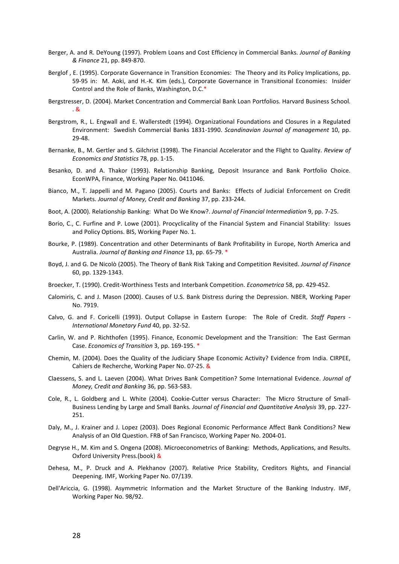- Berger, A. and R. DeYoung (1997). Problem Loans and Cost Efficiency in Commercial Banks. *Journal of Banking & Finance* 21, pp. 849-870.
- Berglof , E. (1995). Corporate Governance in Transition Economies: The Theory and its Policy Implications, pp. 59-95 in: M. Aoki, and H.-K. Kim (eds.), Corporate Governance in Transitional Economies: Insider Control and the Role of Banks, Washington, D.C.\*
- Bergstresser, D. (2004). Market Concentration and Commercial Bank Loan Portfolios. Harvard Business School.  $\mathcal{R}$
- Bergstrom, R., L. Engwall and E. Wallerstedt (1994). Organizational Foundations and Closures in a Regulated Environment: Swedish Commercial Banks 1831-1990. *Scandinavian Journal of management* 10, pp. 29-48.
- Bernanke, B., M. Gertler and S. Gilchrist (1998). The Financial Accelerator and the Flight to Quality. *Review of Economics and Statistics* 78, pp. 1-15.
- Besanko, D. and A. Thakor (1993). Relationship Banking, Deposit Insurance and Bank Portfolio Choice. EconWPA, Finance, Working Paper No. 0411046.
- Bianco, M., T. Jappelli and M. Pagano (2005). Courts and Banks: Effects of Judicial Enforcement on Credit Markets. *Journal of Money, Credit and Banking* 37, pp. 233-244.
- Boot, A. (2000). Relationship Banking: What Do We Know?. *Journal of Financial Intermediation* 9, pp. 7-25.
- Borio, C., C. Furfine and P. Lowe (2001). Procyclicality of the Financial System and Financial Stability: Issues and Policy Options. BIS, Working Paper No. 1.
- Bourke, P. (1989). Concentration and other Determinants of Bank Profitability in Europe, North America and Australia. *Journal of Banking and Finance* 13, pp. 65-79. \*
- Boyd, J. and G. De Nicolò (2005). The Theory of Bank Risk Taking and Competition Revisited. *Journal of Finance* 60, pp. 1329-1343.
- Broecker, T. (1990). Credit-Worthiness Tests and Interbank Competition. *Econometrica* 58, pp. 429-452.
- Calomiris, C. and J. Mason (2000). Causes of U.S. Bank Distress during the Depression. NBER, Working Paper No. 7919.
- Calvo, G. and F. Coricelli (1993). Output Collapse in Eastern Europe: The Role of Credit. *Staff Papers - International Monetary Fund* 40, pp. 32-52.
- Carlin, W. and P. Richthofen (1995). Finance, Economic Development and the Transition: The East German Case. *Economics of Transition* 3, pp. 169-195. \*
- Chemin, M. (2004). Does the Quality of the Judiciary Shape Economic Activity? Evidence from India. CIRPEE, [Cahiers de Recherche,](http://ideas.repec.org/s/lvl/lacicr.html) Working Paper No. 07-25. &
- Claessens, S. and L. Laeven (2004). What Drives Bank Competition? Some International Evidence. *Journal of Money, Credit and Banking* 36, pp. 563-583.
- Cole, R., L. Goldberg and L. White (2004). Cookie-Cutter versus Character: The Micro Structure of Small-Business Lending by Large and Small Banks*. Journal of Financial and Quantitative Analysis* 39, pp. 227- 251.
- Daly, M., J. Krainer and J. Lopez (2003). Does Regional Economic Performance Affect Bank Conditions? New Analysis of an Old Question. FRB of San Francisco, Working Paper No. 2004-01.
- Degryse H., M. Kim and S. Ongena (2008). Microeconometrics of Banking: Methods, Applications, and Results. Oxford University Press.(book) &
- Dehesa, M., P. Druck and A. Plekhanov (2007). Relative Price Stability, Creditors Rights, and Financial Deepening. IMF, Working Paper No. 07/139.
- Dell'Ariccia, G. (1998). Asymmetric Information and the Market Structure of the Banking Industry. *IMF*, [Working Paper No. 98/92](http://papers.ssrn.com/sol3/papers.cfm?abstract_id=882604).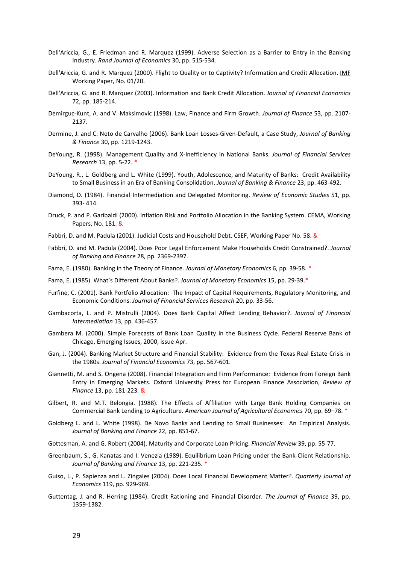- Dell'Ariccia, G., E. Friedman and R. Marquez (1999). Adverse Selection as a Barrier to Entry in the Banking Industry. *Rand Journal of Economics* 30, pp. 515-534.
- Dell'Ariccia, G. and R. Marquez (2000). Flight to Quality or to Captivity? Information and Credit Allocation. [IMF](javascript:void(0);)  [Working Paper, No. 01/20.](javascript:void(0);)
- Dell'Ariccia, G. and R. Marquez (2003). Information and Bank Credit Allocation. *Journal of Financial Economics* 72, pp. 185-214.
- Demirguc-Kunt, A. and V. Maksimovic (1998). Law, Finance and Firm Growth. *Journal of Finance* 53, pp. 2107- 2137.
- Dermine, J. and C. Neto de Carvalho (2006). Bank Loan Losses-Given-Default, a Case Study, *Journal of Banking & Finance* 30, pp. 1219-1243.
- DeYoung, R. (1998). Management Quality and X-Inefficiency in National Banks. *[Journal of Financial Services](http://ideas.repec.org/s/kap/jfsres.html)  [Research](http://ideas.repec.org/s/kap/jfsres.html)* 13, pp. 5-22. \*
- DeYoung, R., L. Goldberg and L. White (1999). Youth, Adolescence, and Maturity of Banks: Credit Availability to Small Business in an Era of Banking Consolidation. *Journal of Banking & Finance* 23, pp. 463-492.
- Diamond, D. (1984). Financial Intermediation and Delegated Monitoring. *[Review of Economic Studies](http://ideas.repec.org/s/bla/restud.html)* 51, pp. 393- 414.
- Druck, P. and P. Garibaldi (2000). Inflation Risk and Portfolio Allocation in the Banking System. CEMA, [Working](http://ideas.repec.org/s/cem/doctra.html)  [Papers,](http://ideas.repec.org/s/cem/doctra.html) No. 181. &
- Fabbri, D. and M. Padula (2001). Judicial Costs and Household Debt. CSEF, Working Paper No. 58. &
- Fabbri, D. and M. Padula (2004). Does Poor Legal Enforcement Make Households Credit Constrained?. *Journal of Banking and Finance* 28, pp. 2369-2397.
- Fama, E. (1980). Banking in the Theory of Finance. *Journal of Monetary Economics* 6, pp. 39-58. \*
- Fama, E. (1985). What's Different About Banks?. *Journal of Monetary Economics* 15, pp. 29-39.\*
- Furfine, [C. \(2001\). B](http://papers.ssrn.com/sol3/cf_dev/AbsByAuth.cfm?per_id=96109)ank Portfolio Allocation: The Impact of Capital Requirements, Regulatory Monitoring, and Economic Conditions. *[Journal of Financial Services Research](javascript:WinOpen();)* 20, pp. 33-56.
- Gambacorta, L. and P. Mistrulli (2004). Does Bank Capital Affect Lending Behavior?. *Journal of Financial Intermediation* 13, pp. 436-457.
- Gambera M. (2000). Simple Forecasts of Bank Loan Quality in the Business Cycle. Federal Reserve Bank of Chicago[, Emerging Issues,](http://econpapers.repec.org/article/fipfedhei/) 2000, issue Apr.
- Gan, J. (2004). Banking Market Structure and Financial Stability: Evidence from the Texas Real Estate Crisis in the 1980s. *Journal of Financial Economics* 73, pp. 567-601.
- Giannetti, M. and S. Ongena (2008). Financial Integration and Firm Performance: Evidence from Foreign Bank Entry in Emerging Markets. Oxford University Press for European Finance Association, *Review of Finance* 13, pp. 181-223*.* &
- Gilbert, R. and M.T. Belongia. (1988). The Effects of Affiliation with Large Bank Holding Companies on Commercial Bank Lending to Agriculture. *American Journal of Agricultural Economics* 70, pp. 69–78. \*
- Goldberg L. and L. White (1998). De Novo Banks and Lending to Small Businesses: An Empirical Analysis. *Journal of Banking and Finance* 22, pp. 851-67.
- Gottesman, A. and G. Robert (2004). Maturity and Corporate Loan Pricing. *Financial Review* 39, pp. 55-77.
- Greenbaum, S., G. Kanatas and I. Venezia (1989). Equilibrium Loan Pricing under the Bank-Client Relationship. *Journal of Banking and Finance* 13, pp. 221-235. \*
- Guiso, L., P. Sapienza and L. Zingales (2004). Does Local Financial Development Matter?. *Quarterly Journal of Economics* 119, pp. 929-969*.*
- Guttentag, J. and R. Herring (1984). Credit Rationing and Financial Disorder. *The Journal of Finance* 39, pp. 1359-1382.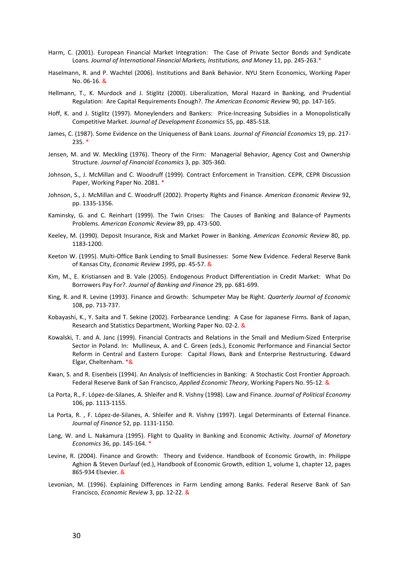- Harm, C. (2001). European Financial Market Integration: The Case of Private Sector Bonds and Syndicate Loans. Journal of International Financial Markets, Institutions, and Money 11, pp. 245-263.\*
- Haselmann, R. and P. Wachtel (2006). Institutions and Bank Behavior. NYU Stern Economics, Working Paper No. 06-16. &
- Hellmann, T., K. Murdock and J. Stiglitz (2000). Liberalization, Moral Hazard in Banking, and Prudential Regulation: Are Capital Requirements Enough?. *The American Economic Review* 90, pp. 147-165.
- Hoff, K. and J. Stiglitz (1997). Moneylenders and Bankers: Price-Increasing Subsidies in a Monopolistically Competitive Market. *Journal of Development Economics* 55, pp. 485-518.
- James, C. (1987). Some Evidence on the Uniqueness of Bank Loans. *Journal of Financial Economics* 19, pp. 217- 235. \*
- Jensen, M. and W. Meckling (1976). Theory of the Firm: Managerial Behavior, Agency Cost and Ownership Structure. *Journal of Financial Economics* 3, pp. 305-360.
- Johnson, S., J. McMillan and C. Woodruff (1999). Contract Enforcement in Transition. CEPR, CEPR Discussion Paper, Working Paper No. 2081. \*
- Johnson, S., J. McMillan and C. Woodruff (2002). Property Rights and Finance. *American Economic Review* 92, pp. 1335-1356.
- Kaminsky, G. and C. Reinhart (1999). The Twin Crises: The Causes of Banking and Balance-of Payments Problems. *American Economic Review* 89, pp. 473-500.
- Keeley, M. (1990). Deposit Insurance, Risk and Market Power in Banking. *American Economic Review* 80, pp. 1183-1200.
- Keeton W. (1995). Multi-Office Bank Lending to Small Businesses: Some New Evidence. Federal Reserve Bank of Kansas City, *Economic Review 1995*, pp. 45-57. &
- Kim, M., E. Kristiansen and B. Vale (2005). Endogenous Product Differentiation in Credit Market: What Do Borrowers Pay For?. *Journal of Banking and Finance* 29, pp. 681-699.
- King, R. and R. Levine (1993). Finance and Growth: Schumpeter May be Right. *Quarterly Journal of Economic* 108, pp. 713-737.
- Kobayashi, K., Y. Saita and T. Sekine (2002). Forbearance Lending: A Case for Japanese Firms. Bank of Japan, Research and Statistics Department, Working Paper No. 02-2. &
- Kowalski, T. and A. Janc (1999). Financial Contracts and Relations in the Small and Medium-Sized Enterprise Sector in Poland. In: Mullineux, A. and C. Green (eds.), Economic Performance and Financial Sector Reform in Central and Eastern Europe: Capital Flows, Bank and Enterprise Restructuring. Edward Elgar, Cheltenham. \*&
- Kwan, S. and R. Eisenbeis (1994). An Analysis of Inefficiencies in Banking: A Stochastic Cost Frontier Approach. Federal Reserve Bank of San Francisco, *Applied Economic Theory*, [Working Papers N](http://ideas.repec.org/s/fip/fedfap.html)o. 95-12. &
- La Porta, R., F. López-de-Silanes, A. Shleifer and R. Vishny (1998). Law and Finance. *Journal of Political Economy* 106, pp. 1113-1155.
- La Porta, R. , F. López-de-Silanes, A. Shleifer and R. Vishny (1997). Legal Determinants of External Finance. *Journal of Finance* 52, pp. 1131-1150.
- Lang, W. and L. Nakamura (1995). Flight to Quality in Banking and Economic Activity. *Journal of Monetary Economics* 36, pp. 145-164. \*
- Levine, R. (2004). Finance and Growth: Theory and Evidence. Handbook of Economic Growth, in: Philippe Aghion & Steven Durlauf (ed.), Handbook of Economic Growth, edition 1, volume 1, chapter 12, pages 865-934 Elsevier. &
- Levonian, M. (1996). Explaining Differences in Farm Lending among Banks. Federal Reserve Bank of San Francisco, *Economic Review* 3, pp. 12-22. &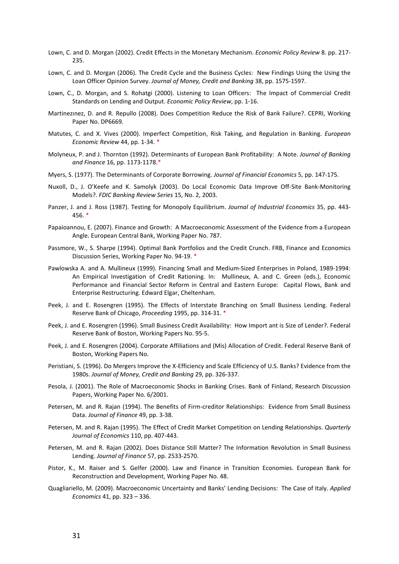- Lown, C. and D. Morgan (2002). Credit Effects in the Monetary Mechanism. *Economic Policy Review* 8. pp. 217- 235.
- Lown, C. and D. Morgan (2006). The Credit Cycle and the Business Cycles: New Findings Using the Using the Loan Officer Opinion Survey. *Journal of Money, Credit and Banking* 38, pp. 1575-1597.
- Lown, C., D. Morgan, and S. Rohatgi (2000). Listening to Loan Officers: The Impact of Commercial Credit Standards on Lending and Output. *Economic Policy Review*, pp. 1-16.
- Martinezınez, D. and R. Repullo (2008). Does Competition Reduce the Risk of Bank Failure?. CEPRI, Working Paper No. DP6669.
- Matutes, C. and X. Vives (2000). Imperfect Competition, Risk Taking, and Regulation in Banking. *European Economic Review* 44, pp. 1-34. \*
- Molyneux, P. and J. Thornton (1992). Determinants of European Bank Profitability: A Note. *Journal of Banking and Finance* 16, pp. 1173-1178.\*
- Myers, S. (1977). The Determinants of Corporate Borrowing. *Journal of Financial Economics* 5, pp. 147-175.
- Nuxoll, D., J. O'Keefe and K. Samolyk (2003). Do Local Economic Data Improve Off-Site Bank-Monitoring Models?. *FDIC Banking Review Series* 15, No. 2, 2003.
- Panzer, J. and J. Ross (1987). Testing for Monopoly Equilibrium. *Journal of Industrial Economics* 35, pp. 443- 456. \*
- Papaioannou, E. (2007). Finance and Growth: A Macroeconomic Assessment of the Evidence from a European Angle. European Central Bank, Working Paper No. 787.
- Passmore, W., S. Sharpe (1994). Optimal Bank Portfolios and the Credit Crunch. FRB, Finance and Economics Discussion Series, Working Paper No. 94-19. \*
- Pawlowska A. and A. Mullineux (1999). Financing Small and Medium-Sized Enterprises in Poland, 1989-1994: An Empirical Investigation of Credit Rationing. In: Mullineux, A. and C. Green (eds.), Economic Performance and Financial Sector Reform in Central and Eastern Europe: Capital Flows, Bank and Enterprise Restructuring. Edward Elgar, Cheltenham.
- Peek, J. and E. Rosengren (1995). The Effects of Interstate Branching on Small Business Lending. Federal Reserve Bank of Chicago, *Proceeding* 1995, pp. 314-31. \*
- Peek, J. and E. Rosengren (1996). Small Business Credit Availability: How Import ant is Size of Lender?. Federal Reserve Bank of Boston[, Working Papers](http://ideas.repec.org/s/fip/fedbwp.html) No. 95-5.
- Peek, J. and E. Rosengren (2004). Corporate Affiliations and (Mis) Allocation of Credit. Federal Reserve Bank of Boston, [Working Papers](http://ideas.repec.org/s/fip/fedbwp.html) No.
- Peristiani, S. (1996). Do Mergers Improve the X-Efficiency and Scale Efficiency of U.S. Banks? Evidence from the 1980s. *Journal of Money, Credit and Banking* 29, pp. 326-337.
- Pesola, [J. \(](http://papers.ssrn.com/sol3/cf_dev/AbsByAuth.cfm?per_id=333496)2001). The Role of Macroeconomic Shocks in Banking Crises. Bank of Finland, [Research Discussion](http://ideas.repec.org/s/hhs/bofrdp.html)  [Papers,](http://ideas.repec.org/s/hhs/bofrdp.html) Working Paper No. 6/2001.
- Petersen, M. and R. Rajan (1994). The Benefits of Firm-creditor Relationships: Evidence from Small Business Data. *Journal of Finance* 49, pp. 3-38.
- Petersen, M. and R. Rajan (1995). The Effect of Credit Market Competition on Lending Relationships. *Quarterly Journal of Economics* 110, pp. 407-443.
- Petersen, M. and R. Rajan (2002). Does Distance Still Matter? The Information Revolution in Small Business Lending. *Journal of Finance* 57, pp. 2533-2570.
- Pistor, K., M. Raiser and S. Gelfer (2000). Law and Finance in Transition Economies. [European Bank for](javascript:WinOpen(154851);)  [Reconstruction and Development, Working Paper No. 48.](javascript:WinOpen(154851);)
- Quagliariello, M. (2009). Macroeconomic Uncertainty and Banks' Lending Decisions: The Case of Italy. *Applied Economics* 41, pp. 323 – 336.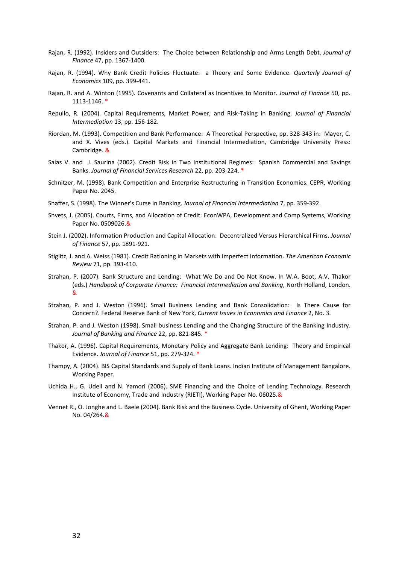- Rajan, R. (1992). Insiders and Outsiders: The Choice between Relationship and Arms Length Debt. *Journal of Finance* 47, pp. 1367-1400.
- Rajan, R. (1994). Why Bank Credit Policies Fluctuate: a Theory and Some Evidence. *Quarterly Journal of Economics* 109, pp. 399-441.
- Rajan, R. and A. Winton (1995). Covenants and Collateral as Incentives to Monitor. *Journal of Finance* 50, pp. 1113-1146. \*
- Repullo, R. (2004). Capital Requirements, Market Power, and Risk-Taking in Banking. *Journal of Financial Intermediation* 13, pp. 156-182.
- Riordan, M. (1993). Competition and Bank Performance: A Theoretical Perspective, pp. 328-343 in: Mayer, C. and X. Vives (eds.). Capital Markets and Financial Intermediation, Cambridge University Press: Cambridge. &
- Salas V. and J. Saurina (2002). Credit Risk in Two Institutional Regimes: Spanish Commercial and Savings Banks. *Journal of Financial Services Research* 22, pp. 203-224. \*
- Schnitzer, M. (1998). Bank Competition and Enterprise Restructuring in Transition Economies. [CEPR,](http://ideas.repec.org/s/cpr/ceprdp.html) Working Paper No. 2045.
- Shaffer, S. (1998). The Winner's Curse in Banking. *Journal of Financial Intermediation* 7, pp. 359-392.
- Shvets, J. (2005). Courts, Firms, and Allocation of Credit. EconWPA, Development and Comp Systems, Working Paper No. 0509026.&
- Stein J. (2002). Information Production and Capital Allocation: Decentralized Versus Hierarchical Firms. *Journal of Finance* 57, pp. 1891-921.
- Stiglitz, J. and A. Weiss (1981). Credit Rationing in Markets with Imperfect Information. *The American Economic Review* 71, pp. 393-410.
- Strahan, P. (2007). Bank Structure and Lending: What We Do and Do Not Know. In W.A. Boot, A.V. Thakor (eds.) *Handbook of Corporate Finance: Financial Intermediation and Banking*, North Holland, London. &
- Strahan, P. and J. Weston (1996). Small Business Lending and Bank Consolidation: Is There Cause for Concern?. Federal Reserve Bank of New York, *Current Issues in Economics and Finance* 2, No. 3.
- Strahan, P. and J. Weston (1998). Small business Lending and the Changing Structure of the Banking Industry. *Journal of Banking and Finance* 22, pp. 821-845. \*
- Thakor, A. (1996). Capital Requirements, Monetary Policy and Aggregate Bank Lending: Theory and Empirical Evidence. *Journal of Finance* 51, pp. 279-324. \*
- Thampy, A. (2004). BIS Capital Standards and Supply of Bank Loans. Indian Institute of Management Bangalore. Working Paper.
- Uchida H., G. Udell and N. Yamori (2006). SME Financing and the Choice of Lending Technology. Research Institute of Economy, Trade and Industry (RIETI), Working Paper No. 06025.&
- Vennet R., O. Jonghe and L. Baele (2004). Bank Risk and the Business Cycle. University of Ghent, Working Paper No. 04/264.&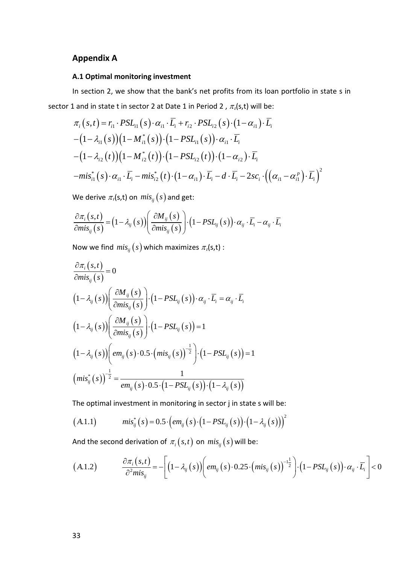# **Appendix A**

# **A.1 Optimal monitoring investment**

In section 2, we show that the bank's net profits from its loan portfolio in state s in sector 1 and in state t in sector 2 at Date 1 in Period 2,  $\pi_i(s,t)$  will be:

$$
\pi_i(s,t) = r_{i1} \cdot PSL_{i1}(s) \cdot \alpha_{i1} \cdot \overline{L_i} + r_{i2} \cdot PSL_{i2}(s) \cdot (1 - \alpha_{i1}) \cdot \overline{L_i}
$$
  
-(1 -  $\lambda_{i1}(s)$ )(1 -  $M_{i1}^*(s)$ ) \cdot (1 - PSL\_{i1}(s)) \cdot \alpha\_{i1} \cdot \overline{L\_i}  
-(1 -  $\lambda_{i2}(t)$ )(1 -  $M_{i2}^*(t)$ ) \cdot (1 - PSL\_{i2}(t)) \cdot (1 - \alpha\_{i2}) \cdot \overline{L\_i}  
- $mis_{i1}^*(s) \cdot \alpha_{i1} \cdot \overline{L_i} - mis_{i2}^*(t) \cdot (1 - \alpha_{i1}) \cdot \overline{L_i} - d \cdot \overline{L_i} - 2sc_i \cdot ((\alpha_{i1} - \alpha_{i1}^p) \cdot \overline{L_i})^2$ 

We derive  $\pi_i(s,t)$  on  $mis_{ij}(s)$  and get:

$$
\frac{\partial \pi_i (s,t)}{\partial mis_{ij} (s)} = (1 - \lambda_{ij} (s)) \left( \frac{\partial M_{ij} (s)}{\partial mis_{ij} (s)} \right) \cdot (1 - PSL_{ij} (s)) \cdot \alpha_{ij} \cdot \overline{L}_i - \alpha_{ij} \cdot \overline{L}_i
$$

Now we find  $mis_{ij}(s)$  which maximizes  $\pi_l(s,t)$  :

$$
\frac{\partial \pi_{i}(s,t)}{\partial mis_{ij}(s)} = 0
$$
\n
$$
(1 - \lambda_{ij}(s)) \left( \frac{\partial M_{ij}(s)}{\partial mis_{ij}(s)} \right) \cdot (1 - PSL_{ij}(s)) \cdot \alpha_{ij} \cdot \overline{L}_{i} = \alpha_{ij} \cdot \overline{L}_{i}
$$
\n
$$
(1 - \lambda_{ij}(s)) \left( \frac{\partial M_{ij}(s)}{\partial mis_{ij}(s)} \right) \cdot (1 - PSL_{ij}(s)) = 1
$$
\n
$$
(1 - \lambda_{ij}(s)) \left( em_{ij}(s) \cdot 0.5 \cdot \left(mis_{ij}(s)\right)^{-\frac{1}{2}} \right) \cdot (1 - PSL_{ij}(s)) = 1
$$
\n
$$
\left(mis_{ij}^{*}(s)\right)^{-\frac{1}{2}} = \frac{1}{em_{ij}(s) \cdot 0.5 \cdot (1 - PSL_{ij}(s)) \cdot (1 - \lambda_{ij}(s))}
$$

The optimal investment in monitoring in sector j in state s will be:

$$
(A.1.1) \t\t mis_{ij}^*(s) = 0.5 \cdot \left( em_{ij}(s) \cdot (1 - PSL_{ij}(s)) \cdot (1 - \lambda_{ij}(s)) \right)^2
$$

And the second derivation of  $\pi_i(s,t)$  on  $mis_{ij}(s)$  will be:

$$
(A.1.2) \qquad \frac{\partial \pi_i (s,t)}{\partial^2 mis_{ij}} = -\Bigg[ \Big(1-\lambda_{ij}(s)\Big) \Bigg( em_{ij}(s) \cdot 0.25 \cdot \Big(mis_{ij}(s)\Big)^{-1} \Bigg) \cdot \Big(1-PSL_{ij}(s)\Big) \cdot \alpha_{ij} \cdot \overline{L_i} \Bigg] < 0
$$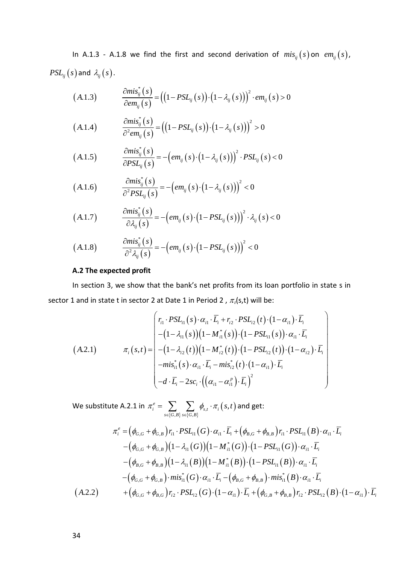In A.1.3 - A.1.8 we find the first and second derivation of  $mis_{ij}(s)$  on  $em_{ij}(s)$ ,  $PSL_{ij}(s)$  and  $\lambda_{ij}(s)$ .

$$
(A.1.3) \qquad \frac{\partial mis_{ij}^*(s)}{\partial em_{ij}(s)} = ((1 - PSL_{ij}(s)) \cdot (1 - \lambda_{ij}(s)))^2 \cdot em_{ij}(s) > 0
$$

$$
(A.1.4) \qquad \frac{\partial mis_{ij}^*(s)}{\partial^2 em_{ij}(s)} = ((1 - PSL_{ij}(s)) \cdot (1 - \lambda_{ij}(s)))^2 > 0
$$

$$
(A.1.5) \qquad \frac{\partial mis_{ij}^*(s)}{\partial PSL_{ij}(s)} = -\left( em_{ij}(s) \cdot \left(1 - \lambda_{ij}(s)\right)\right)^2 \cdot PSL_{ij}(s) < 0
$$

$$
(A.1.6) \qquad \frac{\partial mis_{ij}^*(s)}{\partial^2 PSL_{ij}(s)} = -\left( em_{ij}(s) \cdot \left(1 - \lambda_{ij}(s)\right)\right)^2 < 0
$$

$$
(A.1.7) \qquad \frac{\partial mis_{ij}^*(s)}{\partial \lambda_{ij}(s)} = -\left(\mathit{em}_{ij}(s) \cdot \left(1 - \mathit{PSL}_{ij}(s)\right)\right)^2 \cdot \lambda_{ij}(s) < 0
$$

$$
(A.1.8) \qquad \frac{\partial mis_{ij}^*(s)}{\partial^2 \lambda_{ij}(s)} = -\left(\mathit{em}_{ij}(s) \cdot \left(1 - \mathit{PSL}_{ij}(s)\right)\right)^2 < 0
$$

#### **A.2 The expected profit**

In section 3, we show that the bank's net profits from its loan portfolio in state s in sector 1 and in state t in sector 2 at Date 1 in Period 2,  $\pi_i(s,t)$  will be:

$$
(A.2.1) \qquad \pi_{i}(s,t) = \begin{pmatrix} r_{i1} \cdot PSL_{i1}(s) \cdot \alpha_{i1} \cdot \overline{L}_{i} + r_{i2} \cdot PSL_{i2}(t) \cdot (1 - \alpha_{i1}) \cdot \overline{L}_{i} \\ -(1 - \lambda_{i1}(s)) (1 - M_{i1}^{*}(s)) \cdot (1 - PSL_{i1}(s)) \cdot \alpha_{i1} \cdot \overline{L}_{i} \\ -(1 - \lambda_{i2}(t)) (1 - M_{i2}^{*}(t)) \cdot (1 - PSL_{i2}(t)) \cdot (1 - \alpha_{i2}) \cdot \overline{L}_{i} \\ -m i s_{i1}^{*}(s) \cdot \alpha_{i1} \cdot \overline{L}_{i} -m i s_{i2}^{*}(t) \cdot (1 - \alpha_{i1}) \cdot \overline{L}_{i} \\ -d \cdot \overline{L}_{i} - 2 s c_{i} \cdot ((\alpha_{i1} - \alpha_{i1}^{p}) \cdot \overline{L}_{i})^{2} \end{pmatrix}
$$

We substitute A.2.1 in  $\pi_i^e = \sum_{s \in \{G, B\}} \sum_{s \in \{G, B\}} \phi_{s, t} \cdot \pi_i\big(s, t\big)$  $\psi_{i}^{e} = \sum_{i} \sum_{i} \phi_{s,t} \cdot \pi_{i} \left(s, \right)$  $s \in \{G,B\}$   $s \in \{G,B\}$  $\pi_i^e = \sum_i \sum_i \phi_{s,t} \cdot \pi_i(s,t)$  $=\sum\limits_{s\in\{G,\mathcal{B}\}}\sum\limits_{s\in\{G,\mathcal{B}\}}\phi_{s,t}\cdot\pi_{i}\big(s,t\big)$  and get:

$$
\pi_{i}^{e} = (\phi_{G,G} + \phi_{G,B}) r_{i1} \cdot PSL_{i1}(G) \cdot \alpha_{i1} \cdot \overline{L}_{i} + (\phi_{B,G} + \phi_{B,B}) r_{i1} \cdot PSL_{i1}(B) \cdot \alpha_{i1} \cdot \overline{L}_{i}
$$
  
\n
$$
- (\phi_{G,G} + \phi_{G,B})(1 - \lambda_{i1}(G))(1 - M_{i1}^{*}(G)) \cdot (1 - PSL_{i1}(G)) \cdot \alpha_{i1} \cdot \overline{L}_{i}
$$
  
\n
$$
- (\phi_{B,G} + \phi_{B,B})(1 - \lambda_{i1}(B))(1 - M_{i1}^{*}(B)) \cdot (1 - PSL_{i1}(B)) \cdot \alpha_{i1} \cdot \overline{L}_{i}
$$
  
\n
$$
- (\phi_{G,G} + \phi_{G,B}) \cdot mis_{i1}^{*}(G) \cdot \alpha_{i1} \cdot \overline{L}_{i} - (\phi_{B,G} + \phi_{B,B}) \cdot mis_{i1}^{*}(B) \cdot \alpha_{i1} \cdot \overline{L}_{i}
$$
  
\n(A.2.2) 
$$
+ (\phi_{G,G} + \phi_{B,G}) r_{i2} \cdot PSL_{i2}(G) \cdot (1 - \alpha_{i1}) \cdot \overline{L}_{i} + (\phi_{G,B} + \phi_{B,B}) r_{i2} \cdot PSL_{i2}(B) \cdot (1 - \alpha_{i1}) \cdot \overline{L}_{i}
$$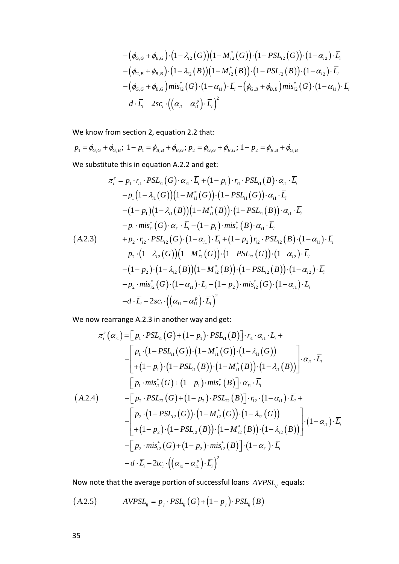$$
\begin{aligned}&-\big(\phi_{G,G}+\phi_{B,G}\big)\cdot\big(1-\lambda_{i2}\big(G\big)\big)\big(1-M_{i2}^*\big(G\big)\big)\cdot\big(1-PSL_{i2}\big(G\big)\big)\cdot\big(1-\alpha_{i2}\big)\cdot\bar{L_i}\\&-\big(\phi_{G,B}+\phi_{B,B}\big)\cdot\big(1-\lambda_{i2}\big(B\big)\big)\big(1-M_{i2}^*\big(B\big)\big)\cdot\big(1-PSL_{i2}\big(B\big)\big)\cdot\big(1-\alpha_{i2}\big)\cdot\bar{L_i}\\&-\big(\phi_{G,G}+\phi_{B,G}\big)mis_{i2}^*\big(G\big)\cdot\big(1-\alpha_{i1}\big)\cdot\bar{L_i}-\big(\phi_{G,B}+\phi_{B,B}\big)mis_{i2}^*\big(G\big)\cdot\big(1-\alpha_{i1}\big)\cdot\bar{L_i}\\&-d\cdot\bar{L_i}-2sc_i\cdot\big(\big(\alpha_{i1}-\alpha_{i1}^p\big)\cdot\bar{L_i}\big)^2\end{aligned}
$$

We know from section 2, equation 2.2 that:

$$
p_1 = \phi_{G,G} + \phi_{G,B}; \ 1 - p_1 = \phi_{B,B} + \phi_{B,G}; \ p_2 = \phi_{G,G} + \phi_{B,G}; \ 1 - p_2 = \phi_{B,B} + \phi_{G,B}
$$

We substitute this in equation A.2.2 and get:

$$
\pi_{i}^{e} = p_{1} \cdot r_{i1} \cdot PSL_{i1}(G) \cdot \alpha_{i1} \cdot \overline{L}_{i} + (1 - p_{1}) \cdot r_{i1} \cdot PSL_{i1}(B) \cdot \alpha_{i1} \cdot \overline{L}_{i}
$$
  
\n
$$
-p_{1}(1 - \lambda_{i1}(G))(1 - M_{i1}^{*}(G)) \cdot (1 - PSL_{i1}(G)) \cdot \alpha_{i1} \cdot \overline{L}_{i}
$$
  
\n
$$
-(1 - p_{1})(1 - \lambda_{i1}(B))(1 - M_{i1}^{*}(B)) \cdot (1 - PSL_{i1}(B)) \cdot \alpha_{i1} \cdot \overline{L}_{i}
$$
  
\n
$$
-p_{1} \cdot mis_{i1}^{*}(G) \cdot \alpha_{i1} \cdot \overline{L}_{i} - (1 - p_{1}) \cdot mis_{i1}^{*}(B) \cdot \alpha_{i1} \cdot \overline{L}_{i}
$$
  
\n(A.2.3) 
$$
+ p_{2} \cdot r_{i2} \cdot PSL_{i2}(G) \cdot (1 - \alpha_{i1}) \cdot \overline{L}_{i} + (1 - p_{2}) r_{i2} \cdot PSL_{i2}(B) \cdot (1 - \alpha_{i1}) \cdot \overline{L}_{i}
$$
  
\n
$$
-p_{2} \cdot (1 - \lambda_{i2}(G))(1 - M_{i2}^{*}(G)) \cdot (1 - PSL_{i2}(G)) \cdot (1 - \alpha_{i2}) \cdot \overline{L}_{i}
$$
  
\n
$$
-(1 - p_{2}) \cdot (1 - \lambda_{i2}(B))(1 - M_{i2}^{*}(B)) \cdot (1 - PSL_{i2}(B)) \cdot (1 - \alpha_{i2}) \cdot \overline{L}_{i}
$$
  
\n
$$
-p_{2} \cdot mis_{i2}^{*}(G) \cdot (1 - \alpha_{i1}) \cdot \overline{L}_{i} - (1 - p_{2}) \cdot mis_{i2}^{*}(G) \cdot (1 - \alpha_{i1}) \cdot \overline{L}_{i}
$$
  
\n
$$
-d \cdot \overline{L}_{i} - 2sc_{i} \cdot ((\alpha_{i1} - \alpha_{i1}^{p}) \cdot \overline{L}_{i})^{2}
$$

We now rearrange A.2.3 in another way and get:

$$
\pi_{i}^{e}(\alpha_{i1}) = [p_{1} \cdot PSL_{i1}(G) + (1-p_{1}) \cdot PSL_{i1}(B)] \cdot r_{i1} \cdot \alpha_{i1} \cdot \overline{L}_{i} +
$$
\n
$$
- \begin{bmatrix} p_{1} \cdot (1 - PSL_{i1}(G)) \cdot (1 - M_{i1}^{*}(G)) \cdot (1 - \lambda_{i1}(G)) \\ + (1 - p_{1}) \cdot (1 - PSL_{i1}(B)) \cdot (1 - M_{i1}^{*}(B)) \cdot (1 - \lambda_{i1}(B)) \end{bmatrix} \cdot \alpha_{i1} \cdot \overline{L}_{i}
$$
\n
$$
- \begin{bmatrix} p_{1} \cdot mis_{i1}^{*}(G) + (1 - p_{1}) \cdot mis_{i1}^{*}(B) \end{bmatrix} \cdot \alpha_{i1} \cdot \overline{L}_{i}
$$
\n(A.2.4) 
$$
+ \begin{bmatrix} p_{2} \cdot PSL_{i2}(G) + (1 - p_{2}) \cdot PSL_{i2}(B) \end{bmatrix} \cdot r_{i2} \cdot (1 - \alpha_{i1}) \cdot \overline{L}_{i} +
$$
\n
$$
- \begin{bmatrix} p_{2} \cdot (1 - PSL_{i2}(G)) \cdot (1 - M_{i2}^{*}(G)) \cdot (1 - \lambda_{i2}(G)) \\ + (1 - p_{2}) \cdot (1 - PSL_{i2}(B)) \cdot (1 - M_{i2}^{*}(B)) \cdot (1 - \lambda_{i2}(B)) \end{bmatrix} \cdot (1 - \alpha_{i1}) \cdot \overline{L}_{i}
$$
\n
$$
- \begin{bmatrix} p_{2} \cdot mis_{i2}^{*}(G) + (1 - p_{2}) \cdot mis_{i2}^{*}(B) \end{bmatrix} \cdot (1 - \alpha_{i1}) \cdot \overline{L}_{i}
$$
\n
$$
- d \cdot \overline{L}_{i} - 2tc_{i} \cdot ((\alpha_{i1} - \alpha_{i1}^{p}) \cdot \overline{L}_{i})^{2}
$$

Now note that the average portion of successful loans  $AVPSL_{ij}$  equals:

$$
(A.2.5) \qquad AVPSL_{ij} = p_j \cdot PSL_{ij}(G) + (1 - p_j) \cdot PSL_{ij}(B)
$$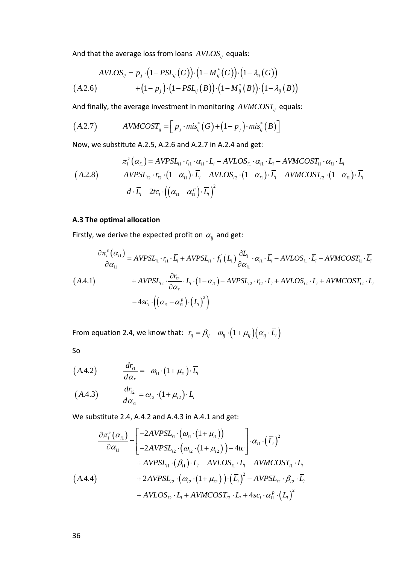And that the average loss from loans  $AVLOS_{ij}$  equals:

$$
AVLOS_{ij} = p_j \cdot (1 - PSL_{ij}(G)) \cdot (1 - M_{ij}^*(G)) \cdot (1 - \lambda_{ij}(G))
$$
  

$$
+ (1 - p_j) \cdot (1 - PSL_{ij}(B)) \cdot (1 - M_{ij}^*(B)) \cdot (1 - \lambda_{ij}(B))
$$

And finally, the average investment in monitoring  $AVMCOST_{ij}$  equals:

$$
(A.2.7) \qquad AVMCOST_{ij} = \left[ p_j \cdot mis_{ij}^*(G) + \left(1 - p_j\right) \cdot mis_{ij}^*(B) \right]
$$

Now, we substitute A.2.5, A.2.6 and A.2.7 in A.2.4 and get:

$$
\pi_i^e(\alpha_{i1}) = AVPSL_{i1} \cdot r_{i1} \cdot \alpha_{i1} \cdot \overline{L}_i - AVLOS_{i1} \cdot \alpha_{i1} \cdot \overline{L}_i - AVMCOST_{i1} \cdot \alpha_{i1} \cdot \overline{L}_i
$$
\n
$$
(A.2.8) \quad AVPSL_{i2} \cdot r_{i2} \cdot (1 - \alpha_{i1}) \cdot \overline{L}_i - AVLOS_{i2} \cdot (1 - \alpha_{i1}) \cdot \overline{L}_i - AVMCOST_{i2} \cdot (1 - \alpha_{i1}) \cdot \overline{L}_i
$$
\n
$$
-d \cdot \overline{L}_i - 2tc_i \cdot ((\alpha_{i1} - \alpha_{i1}^p) \cdot \overline{L}_i)^2
$$

## **A.3 The optimal allocation**

Firstly, we derive the expected profit on  $\alpha_{ij}$  and get:

$$
\frac{\partial \pi_i^e(\alpha_{i1})}{\partial \alpha_{i1}} = AVPSL_{i1} \cdot r_{i1} \cdot \overline{L}_i + AVPSL_{i1} \cdot f_1 \cdot (L_1) \frac{\partial L_1}{\partial \alpha_{i1}} \cdot \alpha_{i1} \cdot \overline{L}_i - AVLOS_{i1} \cdot \overline{L}_i - AVMCOST_{i1} \cdot \overline{L}_i
$$
\n
$$
(A.4.1) \qquad \qquad + AVPSL_{i2} \cdot \frac{\partial r_{i2}}{\partial \alpha_{i1}} \cdot \overline{L}_i \cdot (1 - \alpha_{i1}) - AVPSL_{i2} \cdot r_{i2} \cdot \overline{L}_i + AVLOS_{i2} \cdot \overline{L}_i + AVMCOST_{i2} \cdot \overline{L}_i
$$
\n
$$
-4sc_i \cdot ((\alpha_{i1} - \alpha_{i1}^p) \cdot (\overline{L}_i)^2)
$$

From equation 2.4, we know that:  $r_{ij} = \beta_{ij} - \omega_{ij} \cdot (1 + \mu_{ij})(\alpha_{ij} \cdot \overline{L_i})$ 

So

$$
(A.4.2) \qquad \frac{dr_{i1}}{d\alpha_{i1}} = -\omega_{i1} \cdot (1 + \mu_{i1}) \cdot \overline{L}_{i}
$$

$$
(A.4.3) \qquad \frac{dr_{i2}}{d\alpha_{i1}} = \omega_{i2} \cdot (1 + \mu_{i2}) \cdot \overline{L_i}
$$

We substitute 2.4, A.4.2 and A.4.3 in A.4.1 and get:

$$
\frac{\partial \pi_{i}^{e}(a_{i1})}{\partial \alpha_{i1}} = \begin{bmatrix} -2AVPSL_{i1} \cdot (\omega_{i1} \cdot (1 + \mu_{i1})) \\ -2AVPSL_{i2} \cdot (\omega_{i2} \cdot (1 + \mu_{i2})) - 4tc \end{bmatrix} \cdot \alpha_{i1} \cdot (\overline{L}_{i})^{2} + AVPSL_{i1} \cdot (\beta_{i1}) \cdot \overline{L}_{i} - AVLOS_{i1} \cdot \overline{L}_{i} - AVMCOST_{i1} \cdot \overline{L}_{i}
$$
\n
$$
(A.4.4) + 2AVPSL_{i2} \cdot (\omega_{i2} \cdot (1 + \mu_{i2})) \cdot (\overline{L}_{i})^{2} - AVPSL_{i2} \cdot \beta_{i2} \cdot \overline{L}_{i} + AVLOS_{i2} \cdot \overline{L}_{i} + AVMCOST_{i2} \cdot \overline{L}_{i} + 4sc_{i} \cdot \alpha_{i1}^{p} \cdot (\overline{L}_{i})^{2}
$$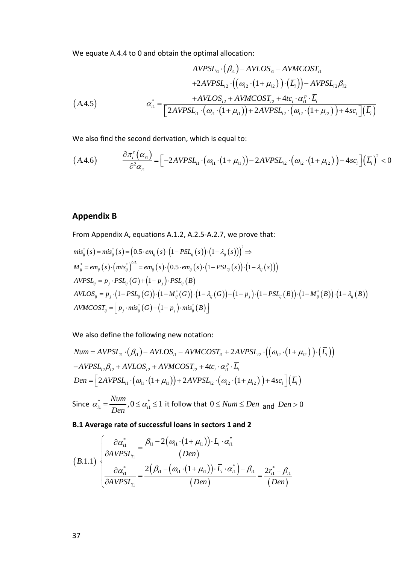We equate A.4.4 to 0 and obtain the optimal allocation:

$$
AVPSL_{i1} \cdot (\beta_{i1}) - AVLOS_{i1} - AVMCOST_{i1} \n+ 2AVPSL_{i2} \cdot ((\omega_{i2} \cdot (1 + \mu_{i2})) \cdot (\overline{L}_{i})) - AVPSL_{i2}\beta_{i2} \n(\text{A.4.5}) \qquad \alpha_{i1}^{*} = \frac{+ AVLOS_{i2} + AVMCOST_{i2} + 4tc_{i} \cdot \alpha_{i1}^{p} \cdot \overline{L}_{i}}{[2AVPSL_{i1} \cdot (\omega_{i1} \cdot (1 + \mu_{i1})) + 2AVPSL_{i2} \cdot (\omega_{i2} \cdot (1 + \mu_{i2})) + 4sc_{i}](\overline{L}_{i})}
$$

We also find the second derivation, which is equal to:

$$
(A.4.6) \qquad \frac{\partial \pi_i^e(\alpha_{i1})}{\partial^2 \alpha_{i1}} = \left[ -2AVPSL_{i1} \cdot (\omega_{i1} \cdot (1 + \mu_{i1})) - 2AVPSL_{i2} \cdot (\omega_{i2} \cdot (1 + \mu_{i2})) - 4sc_i \right] (\overline{L}_i)^2 < 0
$$

# **Appendix B**

From Appendix A, equations A.1.2, A.2.5-A.2.7, we prove that:

$$
mis_{ij}^{*}(s) = mis_{ij}^{*}(s) = (0.5 \cdot em_{ij}(s) \cdot (1 - PSL_{ij}(s)) \cdot (1 - \lambda_{ij}(s)))^{2} \Rightarrow
$$
\n
$$
M_{ij}^{*} = em_{ij}(s) \cdot (mis_{ij}^{*})^{0.5} = em_{ij}(s) \cdot (0.5 \cdot em_{ij}(s) \cdot (1 - PSL_{ij}(s)) \cdot (1 - \lambda_{ij}(s)))
$$
\n
$$
AVPSL_{ij} = p_{j} \cdot PSL_{ij}(G) + (1 - p_{j}) \cdot PSL_{ij}(B)
$$
\n
$$
AVLOS_{ij} = p_{j} \cdot (1 - PSL_{ij}(G)) \cdot (1 - M_{ij}^{*}(G)) \cdot (1 - \lambda_{ij}(G)) + (1 - p_{j}) \cdot (1 - PSL_{ij}(B)) \cdot (1 - M_{ij}^{*}(B)) \cdot (1 - \lambda_{ij}(B))
$$
\n
$$
AVMCOST_{ij} = [p_{j} \cdot mis_{ij}^{*}(G) + (1 - p_{j}) \cdot mis_{ij}^{*}(B)]
$$

We also define the following new notation:

Num = AVPSL<sub>11</sub> · (
$$
\beta_{i1}
$$
) – AVLOS<sub>i1</sub> – AVMCOST<sub>i1</sub> + 2AVPSL<sub>12</sub> · (( $\omega_{i2}$  ·(1+ $\mu_{i2}$ )) · ( $\overline{L_i}$ ))  
-AVPSL<sub>i2</sub> $\beta_{i2}$  + AVLOS<sub>i2</sub> + AVMCOST<sub>i2</sub> + 4tc<sub>i</sub> ·  $\alpha_{i1}^p \cdot \overline{L_i}$   
Den = [2AVPSL<sub>i1</sub> · ( $\omega_{i1}$  ·(1+ $\mu_{i1}$ )) + 2AVPSL<sub>2</sub> · ( $\omega_{i2}$  ·(1+ $\mu_{i2}$ )) + 4sc<sub>i</sub>]( $\overline{L_i}$ )

Since  $\alpha_{i1}^* = \frac{Num}{D}$ ,  $0 \leq \alpha_{i1}^* \leq 1$  $\alpha_{i1}^* = \frac{74mn}{Den}, 0 \leq \alpha_{i1}^* \leq 1$  it follow that  $0 \leq Num \leq Den$  and  $Den > 0$ 

**B.1 Average rate of successful loans in sectors 1 and 2**

$$
(B.1.1) \begin{cases} \frac{\partial \alpha_{i1}^*}{\partial AVPSL_{i1}} = \frac{\beta_{i1} - 2(\omega_{i1} \cdot (1 + \mu_{i1})) \cdot \overline{L_i} \cdot \alpha_{i1}^*}{(Den)} \\ \frac{\partial \alpha_{i1}^*}{\partial AVPSL_{i1}} = \frac{2(\beta_{i1} - (\omega_{i1} \cdot (1 + \mu_{i1})) \cdot \overline{L_i} \cdot \alpha_{i1}^*) - \beta_{i1}}{(Den)} = \frac{2r_{i1}^* - \beta_{i1}}{(Den)} \end{cases}
$$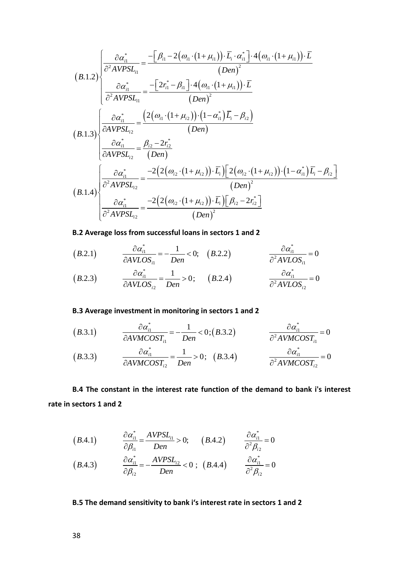$$
(B.1.2)\begin{cases}\n\frac{\partial \alpha_{i1}^{*}}{\partial^{2}AVPSL_{i1}} = \frac{-[\beta_{i1} - 2(\omega_{i1} \cdot (1 + \mu_{i1})) \cdot \overline{L}_{i} \cdot \alpha_{i1}^{*}] \cdot 4(\omega_{i1} \cdot (1 + \mu_{i1})) \cdot \overline{L} \\
\frac{\partial \alpha_{i1}^{*}}{\partial^{2}AVPSL_{i1}} = \frac{-[2r_{i1}^{*} - \beta_{i1}] \cdot 4(\omega_{i1} \cdot (1 + \mu_{i1})) \cdot \overline{L}}{(Den)^{2}} \\
\frac{\partial \alpha_{i1}^{*}}{\partial^{2}AVPSL_{i2}} = \frac{(2(\omega_{i1} \cdot (1 + \mu_{i2})) \cdot (1 - \alpha_{i1}^{*}) \overline{L}_{i} - \beta_{i2})}{(Den)} \\
\frac{\partial \alpha_{i1}^{*}}{\partial AVPSL_{i2}} = \frac{\beta_{i2} - 2r_{i2}^{*}}{(Den)} \\
\frac{\partial \alpha_{i1}^{*}}{\partial^{2}AVPSL_{i2}} = \frac{-2(2(\omega_{i2} \cdot (1 + \mu_{i2})) \cdot \overline{L}_{i}) [2(\omega_{i2} \cdot (1 + \mu_{i2})) \cdot (1 - \alpha_{i1}^{*}) \overline{L}_{i} - \beta_{i2}]}{(Den)^{2}} \\
(B.1.4)\begin{cases}\n\frac{\partial \alpha_{i1}^{*}}{\partial^{2}AVPSL_{i2}} = \frac{-2(2(\omega_{i2} \cdot (1 + \mu_{i2})) \cdot \overline{L}_{i}) [2(\omega_{i2} \cdot (1 + \mu_{i2})) \cdot (1 - \alpha_{i1}^{*}) \overline{L}_{i} - \beta_{i2}]}{(\overline{Den})^{2}} \\
\frac{\partial \alpha_{i1}^{*}}{\partial^{2}AVPSL_{i2}} = \frac{-2(2(\omega_{i2} \cdot (1 + \mu_{i2})) \cdot \overline{L}_{i}) [\beta_{i2} - 2r_{i2}^{*}]}{(Den)^{2}}\n\end{cases}
$$

# **B.2 Average loss from successful loans in sectors 1 and 2**

$$
(B.2.1) \qquad \frac{\partial \alpha_{i1}^*}{\partial AVLOS_{i1}} = -\frac{1}{Den} < 0; \quad (B.2.2) \qquad \frac{\partial \alpha_{i1}^*}{\partial^2 AVLOS_{i1}} = 0
$$

$$
(B.2.3) \qquad \frac{\partial \alpha_{i1}^*}{\partial AVLOS_{i2}} = \frac{1}{Den} > 0; \qquad (B.2.4) \qquad \frac{\partial \alpha_{i1}^*}{\partial^2 AVLOS_{i2}} = 0
$$

# **B.3 Average investment in monitoring in sectors 1 and 2**

$$
(B.3.1) \qquad \frac{\partial \alpha_{i1}^*}{\partial AVMCOST_{i1}} = -\frac{1}{Den} < 0; (B.3.2) \qquad \frac{\partial \alpha_{i1}^*}{\partial^2 AVMCOST_{i1}} = 0
$$

$$
(B.3.3) \qquad \frac{\partial \alpha_{i1}^*}{\partial AVMCOST_{i2}} = \frac{1}{Den} > 0; \quad (B.3.4) \qquad \frac{\partial \alpha_{i1}^*}{\partial^2 AVMCOST_{i2}} = 0
$$

**B.4 The constant in the interest rate function of the demand to bank i's interest rate in sectors 1 and 2**

$$
(B.4.1) \qquad \frac{\partial \alpha_{i1}^*}{\partial \beta_{i1}} = \frac{AVPSL_{i1}}{Den} > 0; \qquad (B.4.2) \qquad \frac{\partial \alpha_{i1}^*}{\partial^2 \beta_{i2}} = 0
$$

$$
(B.4.3) \qquad \frac{\partial \alpha_{i1}^*}{\partial \beta_{i2}} = -\frac{AVPSL_{i2}}{Den} < 0 \; ; \; (B.4.4) \qquad \frac{\partial \alpha_{i1}^*}{\partial^2 \beta_{i2}} = 0
$$

# **B.5 The demand sensitivity to bank i's interest rate in sectors 1 and 2**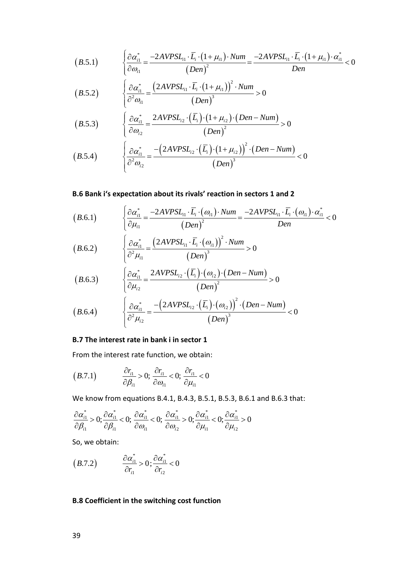$$
(B.5.1) \qquad \begin{cases} \frac{\partial \alpha_{i1}^*}{\partial \omega_{i1}} = \frac{-2AVPSL_{i1} \cdot \overline{L}_i \cdot (1 + \mu_{i1}) \cdot Num}{(Den)^2} = \frac{-2AVPSL_{i1} \cdot \overline{L}_i \cdot (1 + \mu_{i1}) \cdot \alpha_{i1}^*}{Den} < 0 \end{cases}
$$

$$
(B.5.2) \qquad \begin{cases} \frac{\partial \alpha_{i1}^*}{\partial^2 \omega_{i1}} = \frac{\left(2AVPSL_{i1} \cdot \overline{L}_i \cdot \left(1 + \mu_{i1}\right)\right)^2 \cdot Num}{\left(Den\right)^3} > 0 \end{cases}
$$

$$
(B.5.3) \qquad \begin{cases} \frac{\partial \alpha_{i1}^*}{\partial \omega_{i2}} = \frac{2AVPSL_{12} \cdot (\overline{L_i}) \cdot (1 + \mu_{i2}) \cdot (Den - Num)}{(Den)^2} > 0 \end{cases}
$$

$$
(B.5.4) \qquad \begin{cases} \frac{\partial \alpha_{i1}^*}{\partial^2 \omega_{i2}} = \frac{-\left(2AVPSL_{i2} \cdot (\overline{L_i}) \cdot (1 + \mu_{i2})\right)^2 \cdot (Den - Num)}{\left(Den\right)^3} < 0 \end{cases}
$$

## **B.6 Bank i's expectation about its rivals' reaction in sectors 1 and 2**

$$
(B.6.1) \qquad \begin{cases} \frac{\partial \alpha_{i1}^*}{\partial \mu_{i1}} = \frac{-2AVPSL_{i1} \cdot \overline{L}_i \cdot (\omega_{i1}) \cdot Num}{(Den)^2} = \frac{-2AVPSL_{i1} \cdot \overline{L}_i \cdot (\omega_{i1}) \cdot \alpha_{i1}^*}{Den} < 0 \end{cases}
$$

$$
(B.6.2) \qquad \begin{cases} \frac{\partial \alpha_{i1}^*}{\partial^2 \mu_{i1}} = \frac{\left(2AVPSL_{i1} \cdot \overline{L}_i \cdot (\omega_{i1})\right)^2 \cdot Num}{\left(Den\right)^3} > 0 \end{cases}
$$

$$
(B.6.3) \qquad \begin{cases} \frac{\partial \alpha_{i1}^*}{\partial \mu_{i2}} = \frac{2AVPSL_{i2} \cdot (\overline{L_i}) \cdot (\omega_{i2}) \cdot (Den - Num)}{(Den)^2} > 0 \end{cases}
$$

$$
(B.6.4) \qquad \begin{cases} \frac{\partial \alpha_{i1}^*}{\partial^2 \mu_{i2}} = \frac{-\left(2AVPSL_{i2} \cdot (\overline{L_i}) \cdot (\omega_{i2})\right)^2 \cdot (Den - Num)}{\left(Den\right)^3} < 0 \end{cases}
$$

#### **B.7 The interest rate in bank i in sector 1**

From the interest rate function, we obtain:

$$
(B.7.1) \qquad \frac{\partial r_{i1}}{\partial \beta_{i1}} > 0; \frac{\partial r_{i1}}{\partial \omega_{i1}} < 0; \frac{\partial r_{i1}}{\partial \mu_{i1}} < 0
$$

We know from equations B.4.1, B.4.3, B.5.1, B.5.3, B.6.1 and B.6.3 that:

$$
\frac{\partial \alpha_{i1}^*}{\partial \beta_{i1}} > 0; \frac{\partial \alpha_{i1}^*}{\partial \beta_{i1}} < 0; \frac{\partial \alpha_{i1}^*}{\partial \omega_{i1}} < 0; \frac{\partial \alpha_{i1}^*}{\partial \omega_{i2}} > 0; \frac{\partial \alpha_{i1}^*}{\partial \mu_{i1}} < 0; \frac{\partial \alpha_{i1}^*}{\partial \mu_{i2}} > 0
$$

So, we obtain:

$$
(B.7.2) \qquad \frac{\partial \alpha_{i1}^*}{\partial r_{i1}} > 0; \frac{\partial \alpha_{i1}^*}{\partial r_{i2}} < 0
$$

# **B.8 Coefficient in the switching cost function**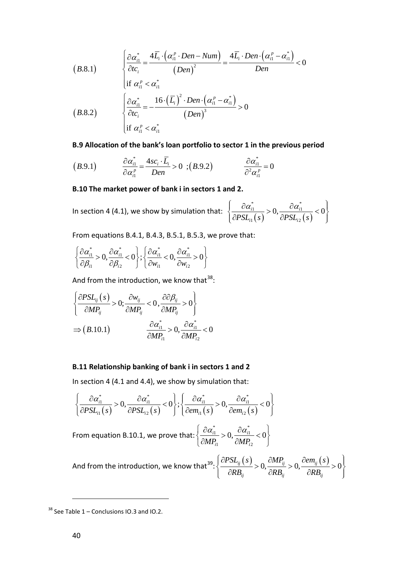$$
(B.8.1)
$$
\n
$$
\begin{cases}\n\frac{\partial \alpha_{i1}^*}{\partial t c_i} = \frac{4 \overline{L}_i \cdot (\alpha_{i1}^p \cdot Den - Num)}{(Den)^2} = \frac{4 \overline{L}_i \cdot Den \cdot (\alpha_{i1}^p - \alpha_{i1}^*)}{Den} < 0 \\
\text{if } \alpha_{i1}^p < \alpha_{i1}^* \\
\frac{\partial \alpha_{i1}^*}{\partial t c_i} = -\frac{16 \cdot (\overline{L}_i)^2 \cdot Den \cdot (\alpha_{i1}^p - \alpha_{i1}^*)}{(Den)^3} > 0 \\
\text{if } \alpha_{i1}^p < \alpha_{i1}^* \n\end{cases}
$$

**B.9 Allocation of the bank's loan portfolio to sector 1 in the previous period**

$$
(B.9.1) \qquad \frac{\partial \alpha_{i1}^*}{\partial \alpha_{i1}^p} = \frac{4sc_i \cdot \overline{L}_i}{Den} > 0 \quad ; (B.9.2) \qquad \frac{\partial \alpha_{i1}^*}{\partial^2 \alpha_{i1}^p} = 0
$$

#### **B.10 The market power of bank i in sectors 1 and 2.**

In section 4 (4.1), we show by simulation that:  $\frac{\partial u_{i1}}{\partial PSL_{i1}(s)} > 0, \frac{\partial u_{i1}}{\partial PSL_{i2}(s)}$ \*  $a^*$  $1 - \Omega$   $^{U\alpha_{i1}}$  $1^{3}$   $1^{2}$  $\frac{i}{i} > 0, \frac{\partial u_{i}}{\partial \mathbf{p} \mathbf{g} \mathbf{f}} < 0$  $\mathit{PSL}_{i1}(s)$   $\qquad \partial \mathit{PSL}_{i2}(s)$  $\left\{\frac{\partial \alpha_{i1}^*}{\partial \mathbf{B}_{i1}(\cdot)} > 0, \frac{\partial \alpha_{i1}^*}{\partial \mathbf{B}_{i1}(\cdot)} < 0\right\}$  $\left(\partial PSL_{i1}(s) \right)$   $\partial PSL_{i2}(s)$  )

From equations B.4.1, B.4.3, B.5.1, B.5.3, we prove that:

$$
\left\{\frac{\partial \alpha_{i1}^*}{\partial \beta_{i1}} > 0, \frac{\partial \alpha_{i1}^*}{\partial \beta_{i2}} < 0\right\}; \left\{\frac{\partial \alpha_{i1}^*}{\partial w_{i1}} < 0, \frac{\partial \alpha_{i1}^*}{\partial w_{i2}} > 0\right\}
$$

And from the introduction, we know that<sup>[38](#page-40-0)</sup>:

$$
\left\{\frac{\partial PSL_{ij}(s)}{\partial MP_{ij}} > 0; \frac{\partial w_{ij}}{\partial MP_{ij}} < 0, \frac{\partial \partial \beta_{ij}}{\partial MP_{ij}} > 0\right\}
$$
  
\n
$$
\Rightarrow (B.10.1) \qquad \frac{\partial \alpha_{i1}^*}{\partial MP_{i1}} > 0, \frac{\partial \alpha_{i1}^*}{\partial MP_{i2}} < 0
$$

#### **B.11 Relationship banking of bank i in sectors 1 and 2**

In section 4 (4.1 and 4.4), we show by simulation that:

$$
\left\{\frac{\partial \alpha_{i1}^*}{\partial PSL_{i1}(s)} > 0, \frac{\partial \alpha_{i1}^*}{\partial PSL_{i2}(s)} < 0\right\}; \left\{\frac{\partial \alpha_{i1}^*}{\partial em_{i1}(s)} > 0, \frac{\partial \alpha_{i1}^*}{\partial em_{i2}(s)} < 0\right\}
$$

From equation B.10.1, we prove that: \*  $a^*$  $\frac{1}{1}$  \ 0  $\frac{0}{1}$ 1  $VIII_{i2}$  $\frac{i}{n} > 0, \frac{U u_{i1}}{2 \cdot 1} < 0$  $MP_{i1}$   $\partial MP_{i}$  $\left\{\frac{\partial \alpha_{i1}^*}{\partial M_{\mathbf{D}}} > 0, \frac{\partial \alpha_{i1}^*}{\partial M_{\mathbf{D}}} < 0\right\}$  $\left[\partial M P_{i1} \right]$   $\partial M P_{i2}$ 

And from the introduction, we know that<sup>[39](#page-40-1)</sup>:  $\frac{\partial PSL_{ij}(s)}{\partial S} > 0, \frac{\partial MP_{ij}}{\partial S} > 0, \frac{\partial em_{ij}(s)}{\partial S} > 0$ *ij*  $U \cap D_{ij}$   $U \cap D_{ij}$  $PSL_{ii}(s)$   $\partial MP_{ii}$   $\partial em_{ii}(s)$  $\left\{\frac{\partial PSL_{ij}(s)}{\partial RB_{ij}}>0,\frac{\partial MP_{ij}}{\partial RB_{ij}}>0,\frac{\partial em_{ij}(s)}{\partial RB_{ij}}>0\right\}$  $\left[ \begin{array}{cc} \partial R B_{ij} & \partial R B_{ij} & \partial R B_{ij} \end{array} \right]$ :

<span id="page-40-1"></span><span id="page-40-0"></span> $38$  See Table 1 – Conclusions IO.3 and IO.2.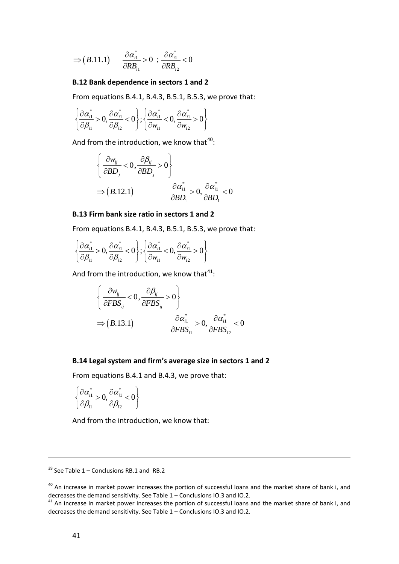$$
\Rightarrow (B.11.1) \qquad \frac{\partial \alpha_{i1}^*}{\partial RB_{i1}} > 0 \; ; \; \frac{\partial \alpha_{i1}^*}{\partial RB_{i2}} < 0
$$

# **B.12 Bank dependence in sectors 1 and 2**

From equations B.4.1, B.4.3, B.5.1, B.5.3, we prove that:

$$
\left\{\frac{\partial \alpha_{i1}^*}{\partial \beta_{i1}} > 0, \frac{\partial \alpha_{i1}^*}{\partial \beta_{i2}} < 0\right\}; \left\{\frac{\partial \alpha_{i1}^*}{\partial w_{i1}} < 0, \frac{\partial \alpha_{i1}^*}{\partial w_{i2}} > 0\right\}
$$

And from the introduction, we know that<sup>[40](#page-41-0)</sup>:

$$
\begin{cases} \frac{\partial w_{ij}}{\partial BD_j} < 0, \frac{\partial \beta_{ij}}{\partial BD_j} > 0 \end{cases}
$$
\n
$$
\Rightarrow (B.12.1) \qquad \frac{\partial \alpha_{i1}^*}{\partial BD_i} > 0, \frac{\partial \alpha_{i1}^*}{\partial BD_i} < 0
$$

## **B.13 Firm bank size ratio in sectors 1 and 2**

From equations B.4.1, B.4.3, B.5.1, B.5.3, we prove that:

$$
\left\{\frac{\partial \alpha_{i1}^*}{\partial \beta_{i1}} > 0, \frac{\partial \alpha_{i1}^*}{\partial \beta_{i2}} < 0\right\}; \left\{\frac{\partial \alpha_{i1}^*}{\partial w_{i1}} < 0, \frac{\partial \alpha_{i1}^*}{\partial w_{i2}} > 0\right\}
$$

And from the introduction, we know that<sup>[41](#page-41-1)</sup>:

$$
\begin{cases}\n\frac{\partial w_{ij}}{\partial FBS_{ij}} < 0, \frac{\partial \beta_{ij}}{\partial FBS_{ij}} > 0 \\
\Rightarrow (B.13.1) & \frac{\partial \alpha_{i1}^*}{\partial FBS_{i1}} > 0, \frac{\partial \alpha_{i1}^*}{\partial FBS_{i2}} < 0\n\end{cases}
$$

#### **B.14 Legal system and firm's average size in sectors 1 and 2**

From equations B.4.1 and B.4.3, we prove that:

$$
\left\{\frac{\partial \alpha_{i1}^*}{\partial \beta_{i1}} > 0, \frac{\partial \alpha_{i1}^*}{\partial \beta_{i2}} < 0\right\}
$$

And from the introduction, we know that:

 $39$  See Table 1 – Conclusions RB.1 and RB.2

<span id="page-41-0"></span><sup>&</sup>lt;sup>40</sup> An increase in market power increases the portion of successful loans and the market share of bank i, and decreases the demand sensitivity. See Table  $1$  – Conclusions IO.3 and IO.2.<br><sup>41</sup> An increase in market power increases the portion of successful loans and the market share of bank i, and

<span id="page-41-1"></span>decreases the demand sensitivity. See Table 1 – Conclusions IO.3 and IO.2.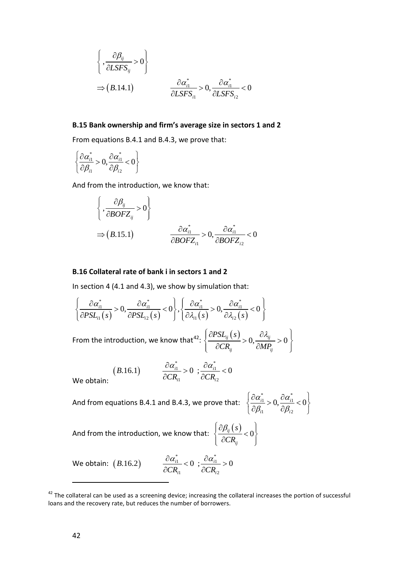$$
\begin{cases}\n\left\{\frac{\partial \beta_{ij}}{\partial LSFS_{ij}} > 0\right\} \\
\Rightarrow (B.14.1) \quad \frac{\partial \alpha_{i1}^*}{\partial LSFS_{i1}} > 0, \frac{\partial \alpha_{i1}^*}{\partial LSFS_{i2}} < 0\n\end{cases}
$$

# **B.15 Bank ownership and firm's average size in sectors 1 and 2**

From equations B.4.1 and B.4.3, we prove that:

$$
\left\{\frac{\partial \alpha_{i1}^*}{\partial \beta_{i1}} > 0, \frac{\partial \alpha_{i1}^*}{\partial \beta_{i2}} < 0\right\}
$$

And from the introduction, we know that:

$$
\begin{cases}\n\frac{\partial \beta_{ij}}{\partial BOFZ_{ij}} > 0\n\end{cases}
$$
\n
$$
\Rightarrow (B.15.1) \qquad \frac{\partial \alpha_{i1}^*}{\partial BOFZ_{i1}} > 0, \frac{\partial \alpha_{i1}^*}{\partial BOFZ_{i2}} < 0
$$

# **B.16 Collateral rate of bank i in sectors 1 and 2**

In section 4 (4.1 and 4.3), we show by simulation that:

$$
\left\{\frac{\partial \alpha_{i1}^*}{\partial PSL_{i1}(s)} > 0, \frac{\partial \alpha_{i1}^*}{\partial PSL_{i2}(s)} < 0\right\}, \left\{\frac{\partial \alpha_{i1}^*}{\partial \lambda_{i1}(s)} > 0, \frac{\partial \alpha_{i1}^*}{\partial \lambda_{i2}(s)} < 0\right\}
$$
  
From the introduction, we know that<sup>42</sup>: 
$$
\left\{\frac{\partial PSL_{ij}(s)}{\partial CR_{ij}} > 0, \frac{\partial \lambda_{ij}}{\partial MP_{ij}} > 0\right\}
$$

$$
(B.16.1) \qquad \frac{\partial \alpha_{i1}^*}{\partial CR_{i1}} > 0 \; ; \frac{\partial \alpha_{i1}^*}{\partial CR_{i2}} < 0
$$

We obtain:

And from equations B.4.1 and B.4.3, we prove that: 
$$
\begin{cases} \frac{\partial \alpha_{i1}}{\partial \beta_{i1}} > \end{cases}
$$

$$
\left\{\frac{\partial \alpha_{i1}^*}{\partial \beta_{i1}} > 0, \frac{\partial \alpha_{i1}^*}{\partial \beta_{i2}} < 0\right\}
$$

And from the introduction, we know that:  $\frac{\partial \beta_{ij}(s)}{\partial \sigma_{ij}} < 0$ *ij s CR*  $\left[\partial \beta_{ij}(s)\right]_{i=0}$  $\left\{\frac{P_y(z)}{2CD} < 0\right\}$  $\left[ \begin{array}{cc} \partial CR_{ij} \end{array} \right]$ 

We obtain:  $(B.16.2)$   $\frac{\partial \alpha_{i1}^*}{\partial \alpha_{i1}} < 0$  ;  $\frac{\partial \alpha_{i1}^*}{\partial \alpha_{i2}}$  $\sum_{i=1}^n$ .16.2)  $\frac{U\alpha_{i1}}{2\Omega} < 0$ ;  $\frac{U\alpha_{i1}}{2\Omega} > 0$  $CR_{i1}$   $\partial CR_{i}$ We obtain:  $(B.16.2)$  $\frac{\partial a_{i1}^*}{\partial x_{i2}^*}$  < 0 ;  $\frac{\partial a_{i1}^*}{\partial x_{i2}^*}$  >  $\partial CR_{i1}$   $\partial$ 

<span id="page-42-0"></span> $42$  The collateral can be used as a screening device; increasing the collateral increases the portion of successful loans and the recovery rate, but reduces the number of borrowers.